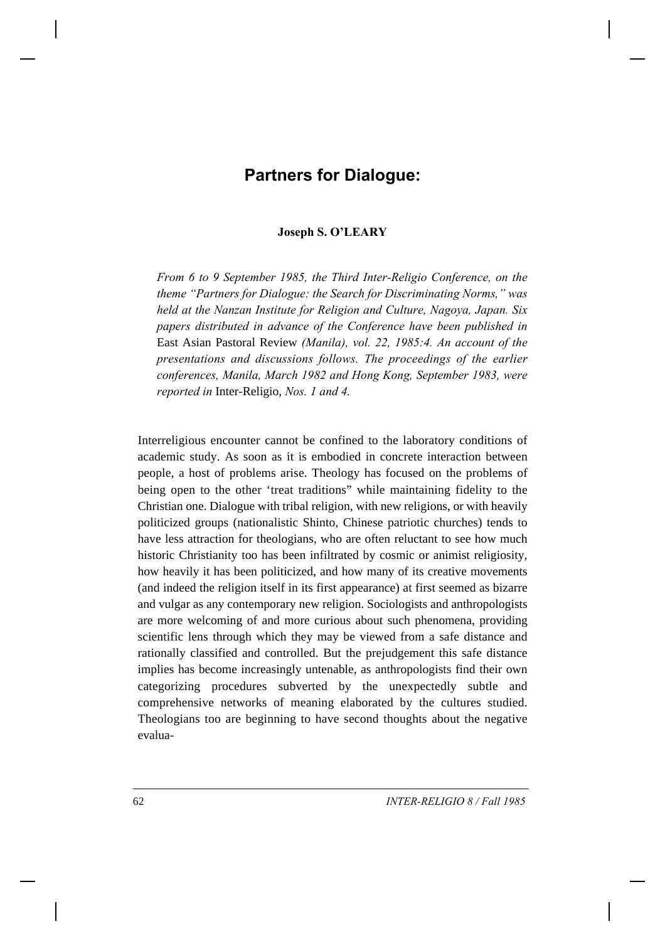# **Partners for Dialogue:**

### **Joseph S. O'LEARY**

*From 6 to 9 September 1985, the Third Inter-Religio Conference, on the theme "Partners for Dialogue: the Search for Discriminating Norms," was held at the Nanzan Institute for Religion and Culture, Nagoya, Japan. Six papers distributed in advance of the Conference have been published in* East Asian Pastoral Review *(Manila), vol. 22, 1985:4. An account of the presentations and discussions follows. The proceedings of the earlier conferences, Manila, March 1982 and Hong Kong, September 1983, were reported in* Inter-Religio, *Nos. 1 and 4.*

Interreligious encounter cannot be confined to the laboratory conditions of academic study. As soon as it is embodied in concrete interaction between people, a host of problems arise. Theology has focused on the problems of being open to the other 'treat traditions" while maintaining fidelity to the Christian one. Dialogue with tribal religion, with new religions, or with heavily politicized groups (nationalistic Shinto, Chinese patriotic churches) tends to have less attraction for theologians, who are often reluctant to see how much historic Christianity too has been infiltrated by cosmic or animist religiosity, how heavily it has been politicized, and how many of its creative movements (and indeed the religion itself in its first appearance) at first seemed as bizarre and vulgar as any contemporary new religion. Sociologists and anthropologists are more welcoming of and more curious about such phenomena, providing scientific lens through which they may be viewed from a safe distance and rationally classified and controlled. But the prejudgement this safe distance implies has become increasingly untenable, as anthropologists find their own categorizing procedures subverted by the unexpectedly subtle and comprehensive networks of meaning elaborated by the cultures studied. Theologians too are beginning to have second thoughts about the negative evalua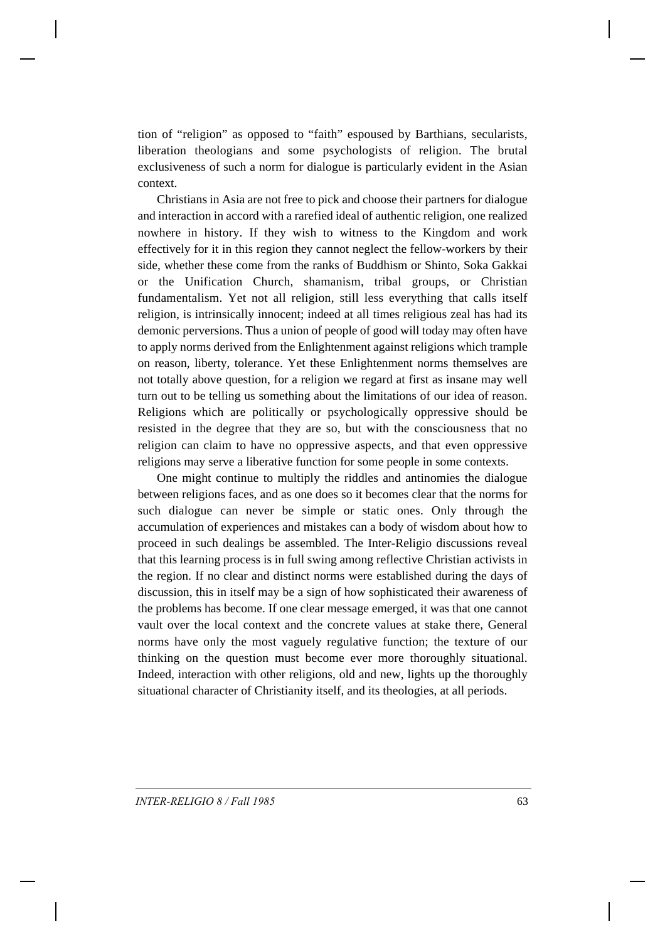tion of "religion" as opposed to "faith" espoused by Barthians, secularists, liberation theologians and some psychologists of religion. The brutal exclusiveness of such a norm for dialogue is particularly evident in the Asian context.

Christians in Asia are not free to pick and choose their partners for dialogue and interaction in accord with a rarefied ideal of authentic religion, one realized nowhere in history. If they wish to witness to the Kingdom and work effectively for it in this region they cannot neglect the fellow-workers by their side, whether these come from the ranks of Buddhism or Shinto, Soka Gakkai or the Unification Church, shamanism, tribal groups, or Christian fundamentalism. Yet not all religion, still less everything that calls itself religion, is intrinsically innocent; indeed at all times religious zeal has had its demonic perversions. Thus a union of people of good will today may often have to apply norms derived from the Enlightenment against religions which trample on reason, liberty, tolerance. Yet these Enlightenment norms themselves are not totally above question, for a religion we regard at first as insane may well turn out to be telling us something about the limitations of our idea of reason. Religions which are politically or psychologically oppressive should be resisted in the degree that they are so, but with the consciousness that no religion can claim to have no oppressive aspects, and that even oppressive religions may serve a liberative function for some people in some contexts.

One might continue to multiply the riddles and antinomies the dialogue between religions faces, and as one does so it becomes clear that the norms for such dialogue can never be simple or static ones. Only through the accumulation of experiences and mistakes can a body of wisdom about how to proceed in such dealings be assembled. The Inter-Religio discussions reveal that this learning process is in full swing among reflective Christian activists in the region. If no clear and distinct norms were established during the days of discussion, this in itself may be a sign of how sophisticated their awareness of the problems has become. If one clear message emerged, it was that one cannot vault over the local context and the concrete values at stake there, General norms have only the most vaguely regulative function; the texture of our thinking on the question must become ever more thoroughly situational. Indeed, interaction with other religions, old and new, lights up the thoroughly situational character of Christianity itself, and its theologies, at all periods.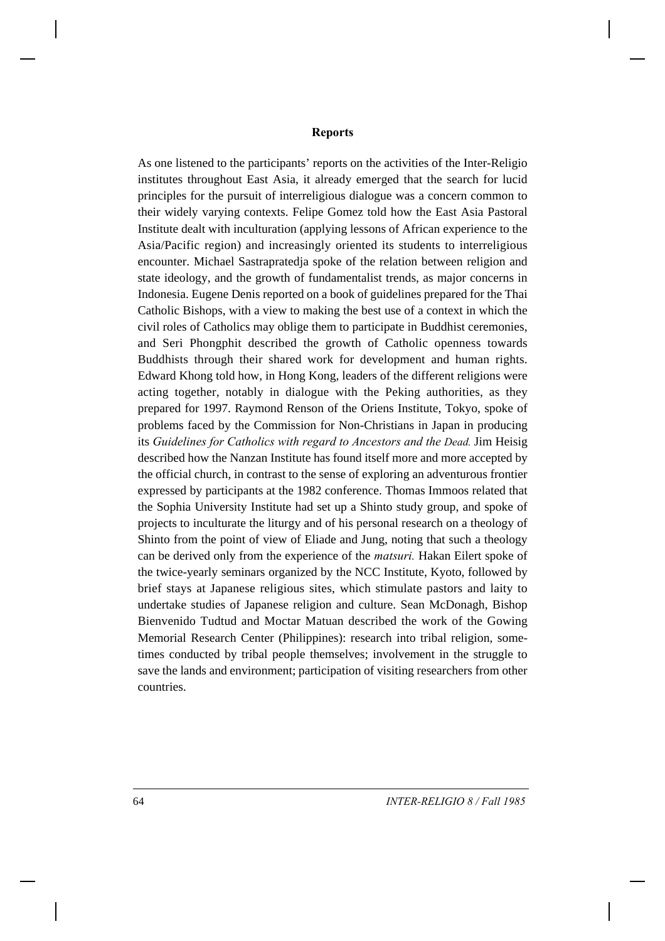#### **Reports**

As one listened to the participants' reports on the activities of the Inter-Religio institutes throughout East Asia, it already emerged that the search for lucid principles for the pursuit of interreligious dialogue was a concern common to their widely varying contexts. Felipe Gomez told how the East Asia Pastoral Institute dealt with inculturation (applying lessons of African experience to the Asia/Pacific region) and increasingly oriented its students to interreligious encounter. Michael Sastrapratedja spoke of the relation between religion and state ideology, and the growth of fundamentalist trends, as major concerns in Indonesia. Eugene Denis reported on a book of guidelines prepared for the Thai Catholic Bishops, with a view to making the best use of a context in which the civil roles of Catholics may oblige them to participate in Buddhist ceremonies, and Seri Phongphit described the growth of Catholic openness towards Buddhists through their shared work for development and human rights. Edward Khong told how, in Hong Kong, leaders of the different religions were acting together, notably in dialogue with the Peking authorities, as they prepared for 1997. Raymond Renson of the Oriens Institute, Tokyo, spoke of problems faced by the Commission for Non-Christians in Japan in producing its *Guidelines for Catholics with regard to Ancestors and the Dead.* Jim Heisig described how the Nanzan Institute has found itself more and more accepted by the official church, in contrast to the sense of exploring an adventurous frontier expressed by participants at the 1982 conference. Thomas Immoos related that the Sophia University Institute had set up a Shinto study group, and spoke of projects to inculturate the liturgy and of his personal research on a theology of Shinto from the point of view of Eliade and Jung, noting that such a theology can be derived only from the experience of the *matsuri.* Hakan Eilert spoke of the twice-yearly seminars organized by the NCC Institute, Kyoto, followed by brief stays at Japanese religious sites, which stimulate pastors and laity to undertake studies of Japanese religion and culture. Sean McDonagh, Bishop Bienvenido Tudtud and Moctar Matuan described the work of the Gowing Memorial Research Center (Philippines): research into tribal religion, sometimes conducted by tribal people themselves; involvement in the struggle to save the lands and environment; participation of visiting researchers from other countries.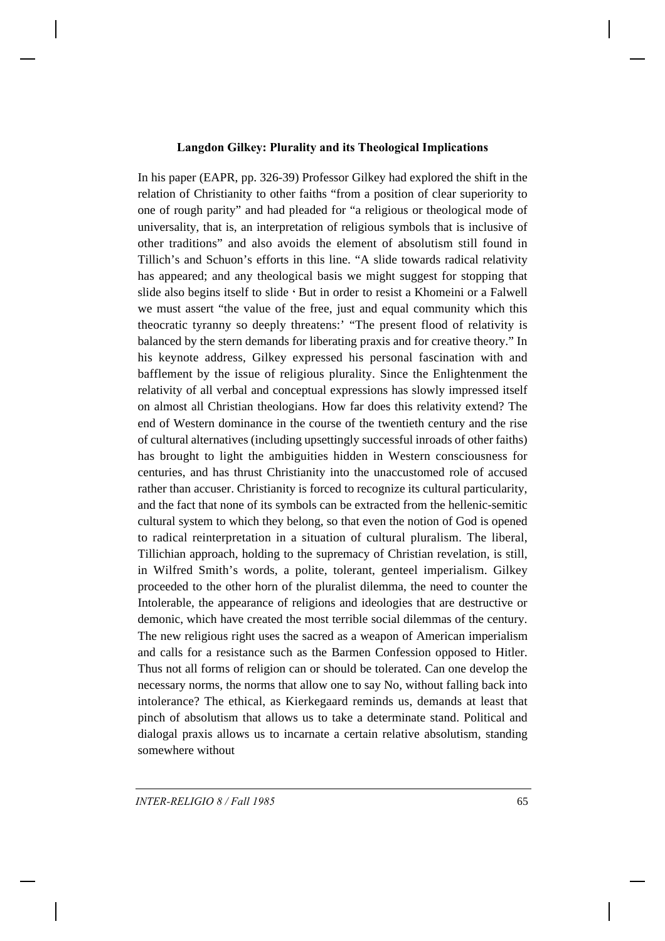### **Langdon Gilkey: Plurality and its Theological Implications**

In his paper (EAPR, pp. 326-39) Professor Gilkey had explored the shift in the relation of Christianity to other faiths "from a position of clear superiority to one of rough parity" and had pleaded for "a religious or theological mode of universality, that is, an interpretation of religious symbols that is inclusive of other traditions" and also avoids the element of absolutism still found in Tillich's and Schuon's efforts in this line. "A slide towards radical relativity has appeared; and any theological basis we might suggest for stopping that slide also begins itself to slide **'** But in order to resist a Khomeini or a Falwell we must assert "the value of the free, just and equal community which this theocratic tyranny so deeply threatens:' "The present flood of relativity is balanced by the stern demands for liberating praxis and for creative theory." In his keynote address, Gilkey expressed his personal fascination with and bafflement by the issue of religious plurality. Since the Enlightenment the relativity of all verbal and conceptual expressions has slowly impressed itself on almost all Christian theologians. How far does this relativity extend? The end of Western dominance in the course of the twentieth century and the rise of cultural alternatives (including upsettingly successful inroads of other faiths) has brought to light the ambiguities hidden in Western consciousness for centuries, and has thrust Christianity into the unaccustomed role of accused rather than accuser. Christianity is forced to recognize its cultural particularity, and the fact that none of its symbols can be extracted from the hellenic-semitic cultural system to which they belong, so that even the notion of God is opened to radical reinterpretation in a situation of cultural pluralism. The liberal, Tillichian approach, holding to the supremacy of Christian revelation, is still, in Wilfred Smith's words, a polite, tolerant, genteel imperialism. Gilkey proceeded to the other horn of the pluralist dilemma, the need to counter the Intolerable, the appearance of religions and ideologies that are destructive or demonic, which have created the most terrible social dilemmas of the century. The new religious right uses the sacred as a weapon of American imperialism and calls for a resistance such as the Barmen Confession opposed to Hitler. Thus not all forms of religion can or should be tolerated. Can one develop the necessary norms, the norms that allow one to say No, without falling back into intolerance? The ethical, as Kierkegaard reminds us, demands at least that pinch of absolutism that allows us to take a determinate stand. Political and dialogal praxis allows us to incarnate a certain relative absolutism, standing somewhere without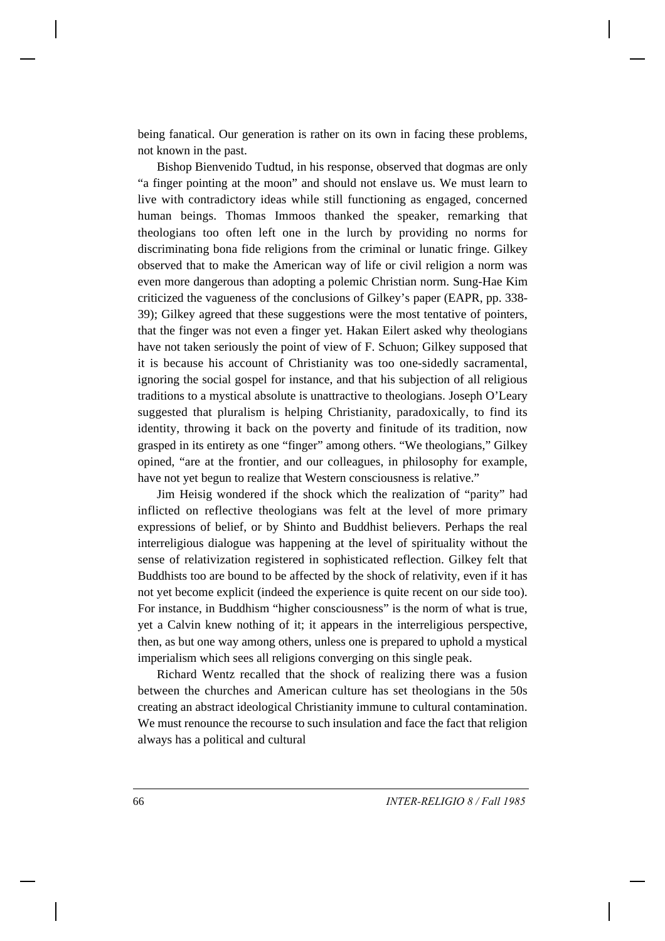being fanatical. Our generation is rather on its own in facing these problems, not known in the past.

Bishop Bienvenido Tudtud, in his response, observed that dogmas are only "a finger pointing at the moon" and should not enslave us. We must learn to live with contradictory ideas while still functioning as engaged, concerned human beings. Thomas Immoos thanked the speaker, remarking that theologians too often left one in the lurch by providing no norms for discriminating bona fide religions from the criminal or lunatic fringe. Gilkey observed that to make the American way of life or civil religion a norm was even more dangerous than adopting a polemic Christian norm. Sung-Hae Kim criticized the vagueness of the conclusions of Gilkey's paper (EAPR, pp. 338- 39); Gilkey agreed that these suggestions were the most tentative of pointers, that the finger was not even a finger yet. Hakan Eilert asked why theologians have not taken seriously the point of view of F. Schuon; Gilkey supposed that it is because his account of Christianity was too one-sidedly sacramental, ignoring the social gospel for instance, and that his subjection of all religious traditions to a mystical absolute is unattractive to theologians. Joseph O'Leary suggested that pluralism is helping Christianity, paradoxically, to find its identity, throwing it back on the poverty and finitude of its tradition, now grasped in its entirety as one "finger" among others. "We theologians," Gilkey opined, "are at the frontier, and our colleagues, in philosophy for example, have not yet begun to realize that Western consciousness is relative."

Jim Heisig wondered if the shock which the realization of "parity" had inflicted on reflective theologians was felt at the level of more primary expressions of belief, or by Shinto and Buddhist believers. Perhaps the real interreligious dialogue was happening at the level of spirituality without the sense of relativization registered in sophisticated reflection. Gilkey felt that Buddhists too are bound to be affected by the shock of relativity, even if it has not yet become explicit (indeed the experience is quite recent on our side too). For instance, in Buddhism "higher consciousness" is the norm of what is true, yet a Calvin knew nothing of it; it appears in the interreligious perspective, then, as but one way among others, unless one is prepared to uphold a mystical imperialism which sees all religions converging on this single peak.

Richard Wentz recalled that the shock of realizing there was a fusion between the churches and American culture has set theologians in the 50s creating an abstract ideological Christianity immune to cultural contamination. We must renounce the recourse to such insulation and face the fact that religion always has a political and cultural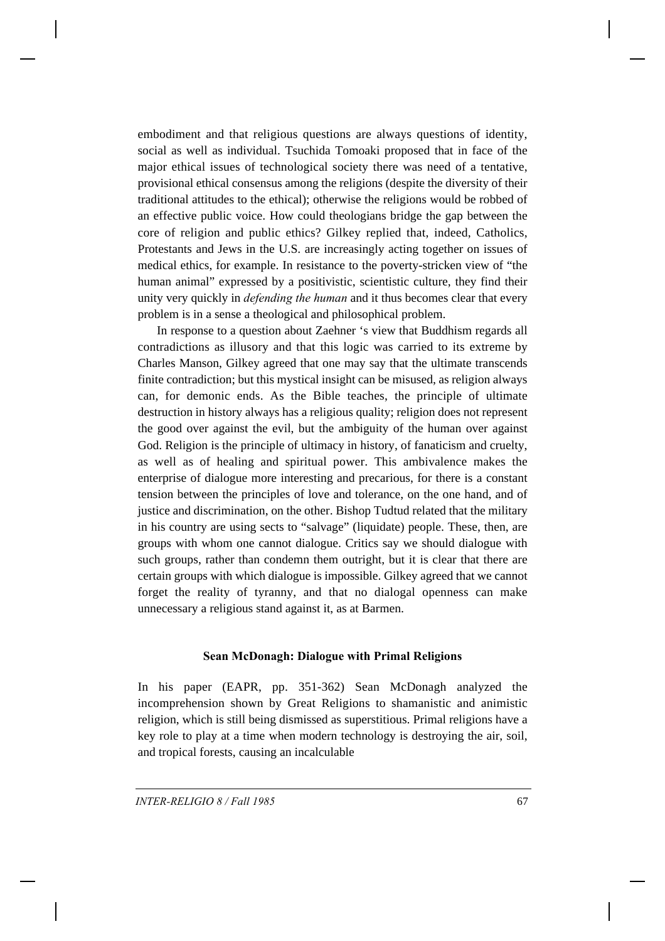embodiment and that religious questions are always questions of identity, social as well as individual. Tsuchida Tomoaki proposed that in face of the major ethical issues of technological society there was need of a tentative, provisional ethical consensus among the religions (despite the diversity of their traditional attitudes to the ethical); otherwise the religions would be robbed of an effective public voice. How could theologians bridge the gap between the core of religion and public ethics? Gilkey replied that, indeed, Catholics, Protestants and Jews in the U.S. are increasingly acting together on issues of medical ethics, for example. In resistance to the poverty-stricken view of "the human animal" expressed by a positivistic, scientistic culture, they find their unity very quickly in *defending the human* and it thus becomes clear that every problem is in a sense a theological and philosophical problem.

In response to a question about Zaehner 's view that Buddhism regards all contradictions as illusory and that this logic was carried to its extreme by Charles Manson, Gilkey agreed that one may say that the ultimate transcends finite contradiction; but this mystical insight can be misused, as religion always can, for demonic ends. As the Bible teaches, the principle of ultimate destruction in history always has a religious quality; religion does not represent the good over against the evil, but the ambiguity of the human over against God. Religion is the principle of ultimacy in history, of fanaticism and cruelty, as well as of healing and spiritual power. This ambivalence makes the enterprise of dialogue more interesting and precarious, for there is a constant tension between the principles of love and tolerance, on the one hand, and of justice and discrimination, on the other. Bishop Tudtud related that the military in his country are using sects to "salvage" (liquidate) people. These, then, are groups with whom one cannot dialogue. Critics say we should dialogue with such groups, rather than condemn them outright, but it is clear that there are certain groups with which dialogue is impossible. Gilkey agreed that we cannot forget the reality of tyranny, and that no dialogal openness can make unnecessary a religious stand against it, as at Barmen.

### **Sean McDonagh: Dialogue with Primal Religions**

In his paper (EAPR, pp. 351-362) Sean McDonagh analyzed the incomprehension shown by Great Religions to shamanistic and animistic religion, which is still being dismissed as superstitious. Primal religions have a key role to play at a time when modern technology is destroying the air, soil, and tropical forests, causing an incalculable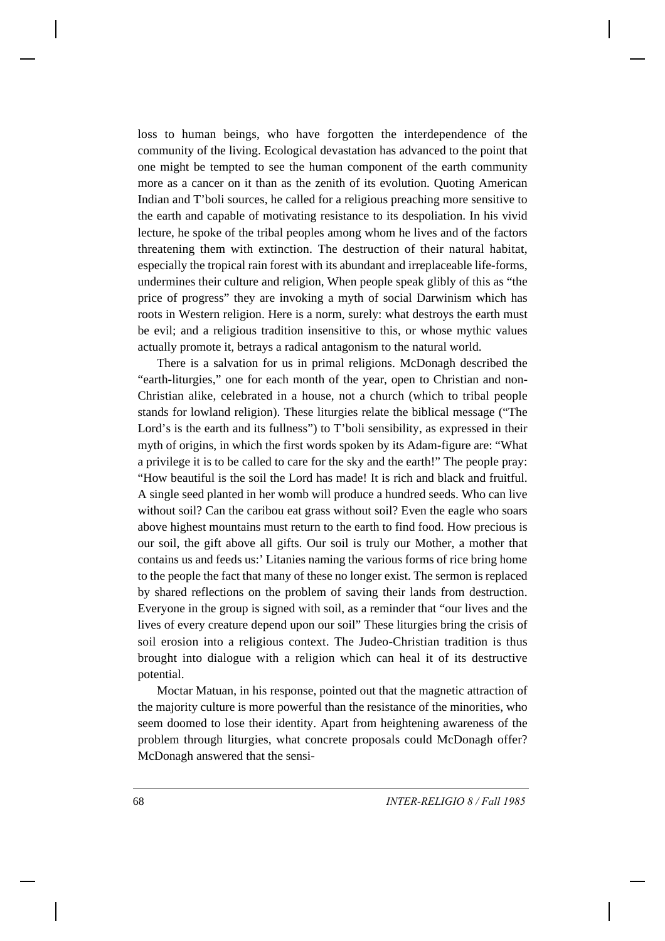loss to human beings, who have forgotten the interdependence of the community of the living. Ecological devastation has advanced to the point that one might be tempted to see the human component of the earth community more as a cancer on it than as the zenith of its evolution. Quoting American Indian and T'boli sources, he called for a religious preaching more sensitive to the earth and capable of motivating resistance to its despoliation. In his vivid lecture, he spoke of the tribal peoples among whom he lives and of the factors threatening them with extinction. The destruction of their natural habitat, especially the tropical rain forest with its abundant and irreplaceable life-forms, undermines their culture and religion, When people speak glibly of this as "the price of progress" they are invoking a myth of social Darwinism which has roots in Western religion. Here is a norm, surely: what destroys the earth must be evil; and a religious tradition insensitive to this, or whose mythic values actually promote it, betrays a radical antagonism to the natural world.

There is a salvation for us in primal religions. McDonagh described the "earth-liturgies," one for each month of the year, open to Christian and non-Christian alike, celebrated in a house, not a church (which to tribal people stands for lowland religion). These liturgies relate the biblical message ("The Lord's is the earth and its fullness") to T'boli sensibility, as expressed in their myth of origins, in which the first words spoken by its Adam-figure are: "What a privilege it is to be called to care for the sky and the earth!" The people pray: "How beautiful is the soil the Lord has made! It is rich and black and fruitful. A single seed planted in her womb will produce a hundred seeds. Who can live without soil? Can the caribou eat grass without soil? Even the eagle who soars above highest mountains must return to the earth to find food. How precious is our soil, the gift above all gifts. Our soil is truly our Mother, a mother that contains us and feeds us:' Litanies naming the various forms of rice bring home to the people the fact that many of these no longer exist. The sermon is replaced by shared reflections on the problem of saving their lands from destruction. Everyone in the group is signed with soil, as a reminder that "our lives and the lives of every creature depend upon our soil" These liturgies bring the crisis of soil erosion into a religious context. The Judeo-Christian tradition is thus brought into dialogue with a religion which can heal it of its destructive potential.

Moctar Matuan, in his response, pointed out that the magnetic attraction of the majority culture is more powerful than the resistance of the minorities, who seem doomed to lose their identity. Apart from heightening awareness of the problem through liturgies, what concrete proposals could McDonagh offer? McDonagh answered that the sensi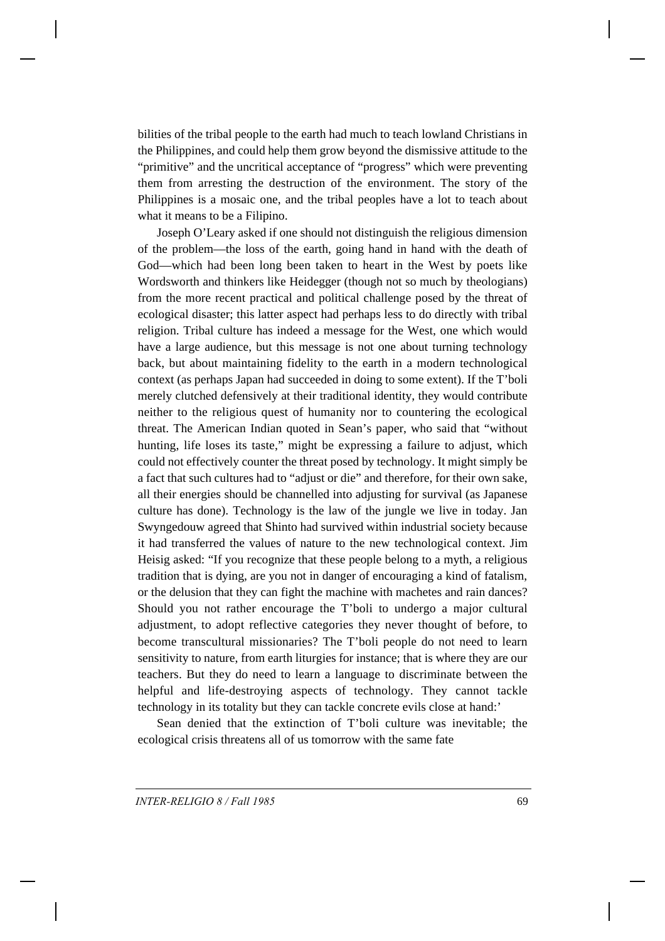bilities of the tribal people to the earth had much to teach lowland Christians in the Philippines, and could help them grow beyond the dismissive attitude to the "primitive" and the uncritical acceptance of "progress" which were preventing them from arresting the destruction of the environment. The story of the Philippines is a mosaic one, and the tribal peoples have a lot to teach about what it means to be a Filipino.

Joseph O'Leary asked if one should not distinguish the religious dimension of the problem—the loss of the earth, going hand in hand with the death of God—which had been long been taken to heart in the West by poets like Wordsworth and thinkers like Heidegger (though not so much by theologians) from the more recent practical and political challenge posed by the threat of ecological disaster; this latter aspect had perhaps less to do directly with tribal religion. Tribal culture has indeed a message for the West, one which would have a large audience, but this message is not one about turning technology back, but about maintaining fidelity to the earth in a modern technological context (as perhaps Japan had succeeded in doing to some extent). If the T'boli merely clutched defensively at their traditional identity, they would contribute neither to the religious quest of humanity nor to countering the ecological threat. The American Indian quoted in Sean's paper, who said that "without hunting, life loses its taste," might be expressing a failure to adjust, which could not effectively counter the threat posed by technology. It might simply be a fact that such cultures had to "adjust or die" and therefore, for their own sake, all their energies should be channelled into adjusting for survival (as Japanese culture has done). Technology is the law of the jungle we live in today. Jan Swyngedouw agreed that Shinto had survived within industrial society because it had transferred the values of nature to the new technological context. Jim Heisig asked: "If you recognize that these people belong to a myth, a religious tradition that is dying, are you not in danger of encouraging a kind of fatalism, or the delusion that they can fight the machine with machetes and rain dances? Should you not rather encourage the T'boli to undergo a major cultural adjustment, to adopt reflective categories they never thought of before, to become transcultural missionaries? The T'boli people do not need to learn sensitivity to nature, from earth liturgies for instance; that is where they are our teachers. But they do need to learn a language to discriminate between the helpful and life-destroying aspects of technology. They cannot tackle technology in its totality but they can tackle concrete evils close at hand:'

Sean denied that the extinction of T'boli culture was inevitable; the ecological crisis threatens all of us tomorrow with the same fate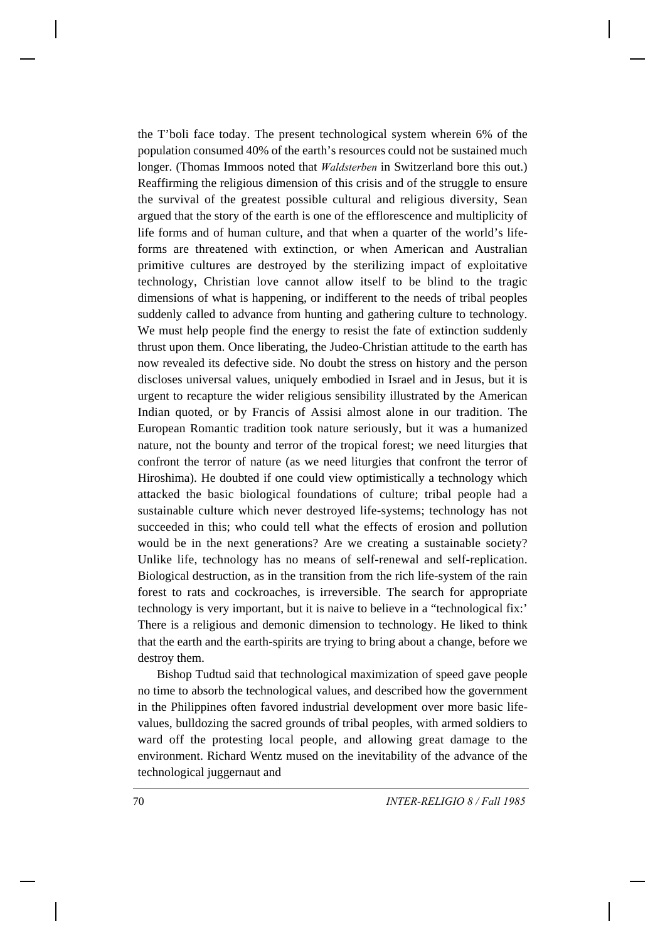the T'boli face today. The present technological system wherein 6% of the population consumed 40% of the earth's resources could not be sustained much longer. (Thomas Immoos noted that *Waldsterben* in Switzerland bore this out.) Reaffirming the religious dimension of this crisis and of the struggle to ensure the survival of the greatest possible cultural and religious diversity, Sean argued that the story of the earth is one of the efflorescence and multiplicity of life forms and of human culture, and that when a quarter of the world's lifeforms are threatened with extinction, or when American and Australian primitive cultures are destroyed by the sterilizing impact of exploitative technology, Christian love cannot allow itself to be blind to the tragic dimensions of what is happening, or indifferent to the needs of tribal peoples suddenly called to advance from hunting and gathering culture to technology. We must help people find the energy to resist the fate of extinction suddenly thrust upon them. Once liberating, the Judeo-Christian attitude to the earth has now revealed its defective side. No doubt the stress on history and the person discloses universal values, uniquely embodied in Israel and in Jesus, but it is urgent to recapture the wider religious sensibility illustrated by the American Indian quoted, or by Francis of Assisi almost alone in our tradition. The European Romantic tradition took nature seriously, but it was a humanized nature, not the bounty and terror of the tropical forest; we need liturgies that confront the terror of nature (as we need liturgies that confront the terror of Hiroshima). He doubted if one could view optimistically a technology which attacked the basic biological foundations of culture; tribal people had a sustainable culture which never destroyed life-systems; technology has not succeeded in this; who could tell what the effects of erosion and pollution would be in the next generations? Are we creating a sustainable society? Unlike life, technology has no means of self-renewal and self-replication. Biological destruction, as in the transition from the rich life-system of the rain forest to rats and cockroaches, is irreversible. The search for appropriate technology is very important, but it is naive to believe in a "technological fix:' There is a religious and demonic dimension to technology. He liked to think that the earth and the earth-spirits are trying to bring about a change, before we destroy them.

Bishop Tudtud said that technological maximization of speed gave people no time to absorb the technological values, and described how the government in the Philippines often favored industrial development over more basic lifevalues, bulldozing the sacred grounds of tribal peoples, with armed soldiers to ward off the protesting local people, and allowing great damage to the environment. Richard Wentz mused on the inevitability of the advance of the technological juggernaut and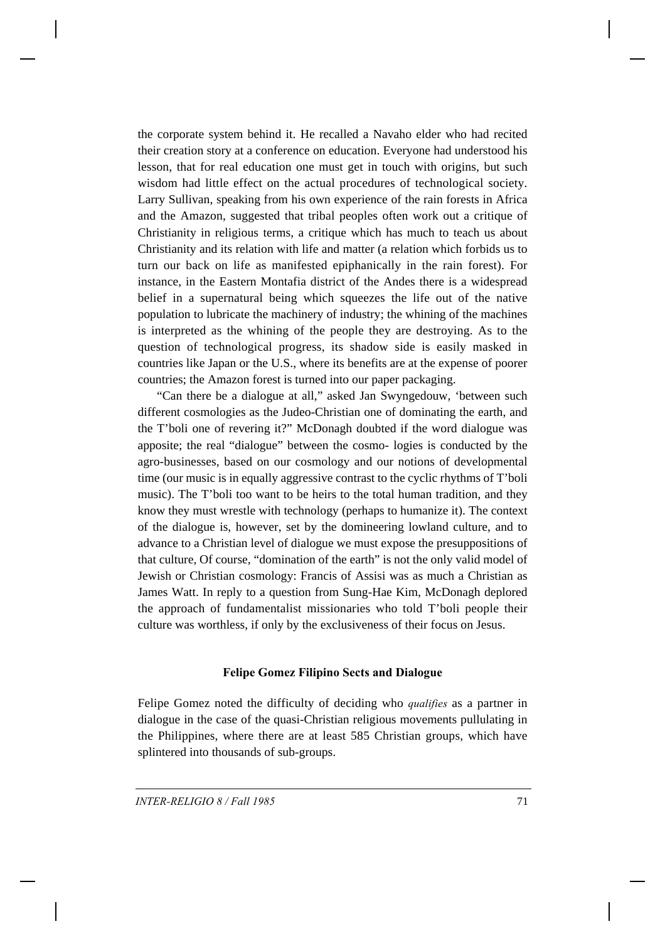the corporate system behind it. He recalled a Navaho elder who had recited their creation story at a conference on education. Everyone had understood his lesson, that for real education one must get in touch with origins, but such wisdom had little effect on the actual procedures of technological society. Larry Sullivan, speaking from his own experience of the rain forests in Africa and the Amazon, suggested that tribal peoples often work out a critique of Christianity in religious terms, a critique which has much to teach us about Christianity and its relation with life and matter (a relation which forbids us to turn our back on life as manifested epiphanically in the rain forest). For instance, in the Eastern Montafia district of the Andes there is a widespread belief in a supernatural being which squeezes the life out of the native population to lubricate the machinery of industry; the whining of the machines is interpreted as the whining of the people they are destroying. As to the question of technological progress, its shadow side is easily masked in countries like Japan or the U.S., where its benefits are at the expense of poorer countries; the Amazon forest is turned into our paper packaging.

"Can there be a dialogue at all," asked Jan Swyngedouw, 'between such different cosmologies as the Judeo-Christian one of dominating the earth, and the T'boli one of revering it?" McDonagh doubted if the word dialogue was apposite; the real "dialogue" between the cosmo- logies is conducted by the agro-businesses, based on our cosmology and our notions of developmental time (our music is in equally aggressive contrast to the cyclic rhythms of T'boli music). The T'boli too want to be heirs to the total human tradition, and they know they must wrestle with technology (perhaps to humanize it). The context of the dialogue is, however, set by the domineering lowland culture, and to advance to a Christian level of dialogue we must expose the presuppositions of that culture, Of course, "domination of the earth" is not the only valid model of Jewish or Christian cosmology: Francis of Assisi was as much a Christian as James Watt. In reply to a question from Sung-Hae Kim, McDonagh deplored the approach of fundamentalist missionaries who told T'boli people their culture was worthless, if only by the exclusiveness of their focus on Jesus.

### **Felipe Gomez Filipino Sects and Dialogue**

Felipe Gomez noted the difficulty of deciding who *qualifies* as a partner in dialogue in the case of the quasi-Christian religious movements pullulating in the Philippines, where there are at least 585 Christian groups, which have splintered into thousands of sub-groups.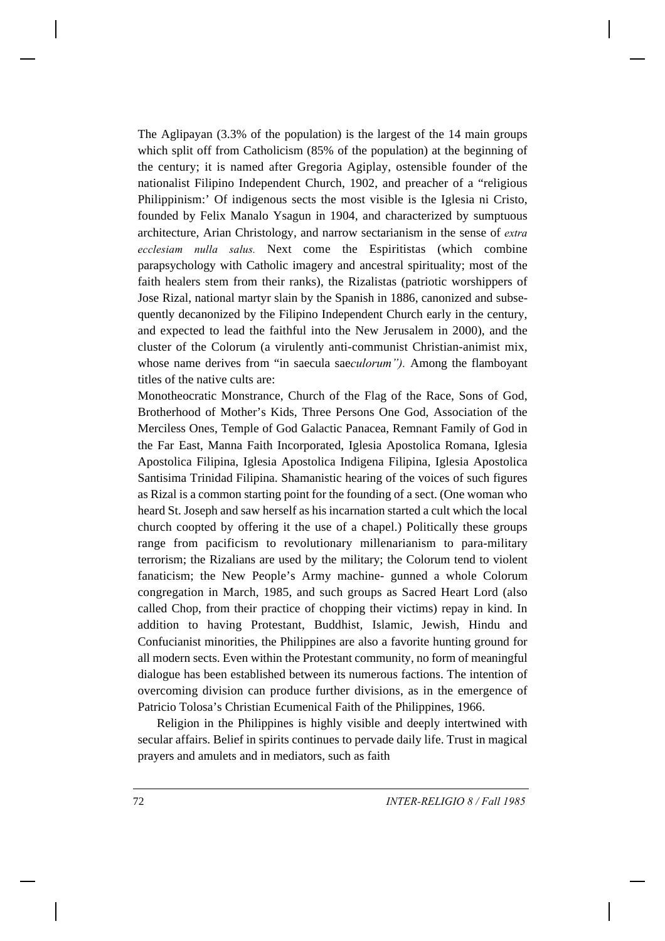The Aglipayan (3.3% of the population) is the largest of the 14 main groups which split off from Catholicism (85% of the population) at the beginning of the century; it is named after Gregoria Agiplay, ostensible founder of the nationalist Filipino Independent Church, 1902, and preacher of a "religious Philippinism:' Of indigenous sects the most visible is the Iglesia ni Cristo, founded by Felix Manalo Ysagun in 1904, and characterized by sumptuous architecture, Arian Christology, and narrow sectarianism in the sense of *extra ecclesiam nulla salus.* Next come the Espiritistas (which combine parapsychology with Catholic imagery and ancestral spirituality; most of the faith healers stem from their ranks), the Rizalistas (patriotic worshippers of Jose Rizal, national martyr slain by the Spanish in 1886, canonized and subsequently decanonized by the Filipino Independent Church early in the century, and expected to lead the faithful into the New Jerusalem in 2000), and the cluster of the Colorum (a virulently anti-communist Christian-animist mix, whose name derives from "in saecula sae*culorum").* Among the flamboyant titles of the native cults are:

Monotheocratic Monstrance, Church of the Flag of the Race, Sons of God, Brotherhood of Mother's Kids, Three Persons One God, Association of the Merciless Ones, Temple of God Galactic Panacea, Remnant Family of God in the Far East, Manna Faith Incorporated, Iglesia Apostolica Romana, Iglesia Apostolica Filipina, Iglesia Apostolica Indigena Filipina, Iglesia Apostolica Santisima Trinidad Filipina. Shamanistic hearing of the voices of such figures as Rizal is a common starting point for the founding of a sect. (One woman who heard St. Joseph and saw herself as his incarnation started a cult which the local church coopted by offering it the use of a chapel.) Politically these groups range from pacificism to revolutionary millenarianism to para-military terrorism; the Rizalians are used by the military; the Colorum tend to violent fanaticism; the New People's Army machine- gunned a whole Colorum congregation in March, 1985, and such groups as Sacred Heart Lord (also called Chop, from their practice of chopping their victims) repay in kind. In addition to having Protestant, Buddhist, Islamic, Jewish, Hindu and Confucianist minorities, the Philippines are also a favorite hunting ground for all modern sects. Even within the Protestant community, no form of meaningful dialogue has been established between its numerous factions. The intention of overcoming division can produce further divisions, as in the emergence of Patricio Tolosa's Christian Ecumenical Faith of the Philippines, 1966.

Religion in the Philippines is highly visible and deeply intertwined with secular affairs. Belief in spirits continues to pervade daily life. Trust in magical prayers and amulets and in mediators, such as faith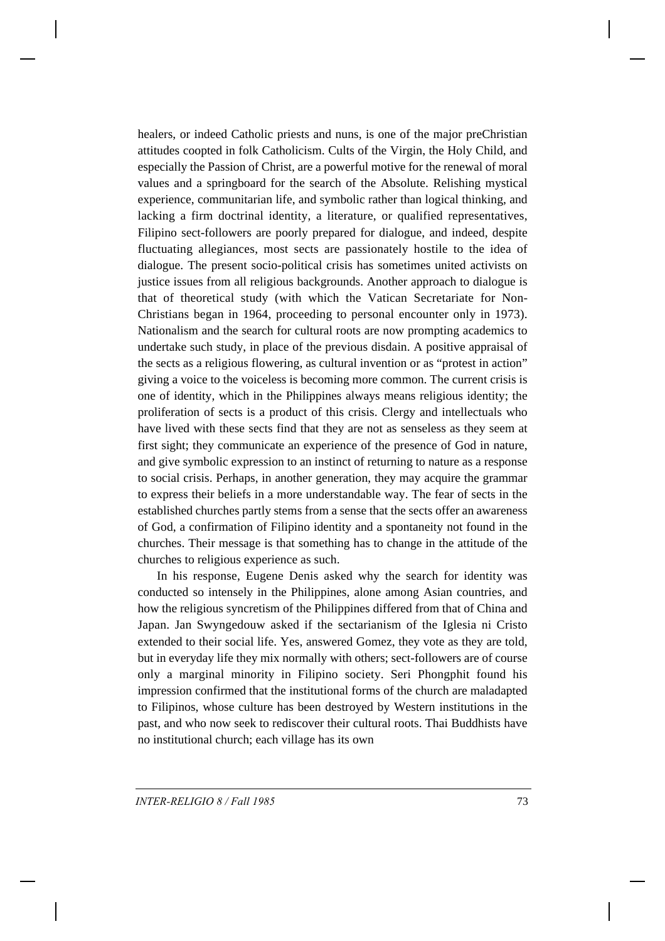healers, or indeed Catholic priests and nuns, is one of the major preChristian attitudes coopted in folk Catholicism. Cults of the Virgin, the Holy Child, and especially the Passion of Christ, are a powerful motive for the renewal of moral values and a springboard for the search of the Absolute. Relishing mystical experience, communitarian life, and symbolic rather than logical thinking, and lacking a firm doctrinal identity, a literature, or qualified representatives, Filipino sect-followers are poorly prepared for dialogue, and indeed, despite fluctuating allegiances, most sects are passionately hostile to the idea of dialogue. The present socio-political crisis has sometimes united activists on justice issues from all religious backgrounds. Another approach to dialogue is that of theoretical study (with which the Vatican Secretariate for Non-Christians began in 1964, proceeding to personal encounter only in 1973). Nationalism and the search for cultural roots are now prompting academics to undertake such study, in place of the previous disdain. A positive appraisal of the sects as a religious flowering, as cultural invention or as "protest in action" giving a voice to the voiceless is becoming more common. The current crisis is one of identity, which in the Philippines always means religious identity; the proliferation of sects is a product of this crisis. Clergy and intellectuals who have lived with these sects find that they are not as senseless as they seem at first sight; they communicate an experience of the presence of God in nature, and give symbolic expression to an instinct of returning to nature as a response to social crisis. Perhaps, in another generation, they may acquire the grammar to express their beliefs in a more understandable way. The fear of sects in the established churches partly stems from a sense that the sects offer an awareness of God, a confirmation of Filipino identity and a spontaneity not found in the churches. Their message is that something has to change in the attitude of the churches to religious experience as such.

In his response, Eugene Denis asked why the search for identity was conducted so intensely in the Philippines, alone among Asian countries, and how the religious syncretism of the Philippines differed from that of China and Japan. Jan Swyngedouw asked if the sectarianism of the Iglesia ni Cristo extended to their social life. Yes, answered Gomez, they vote as they are told, but in everyday life they mix normally with others; sect-followers are of course only a marginal minority in Filipino society. Seri Phongphit found his impression confirmed that the institutional forms of the church are maladapted to Filipinos, whose culture has been destroyed by Western institutions in the past, and who now seek to rediscover their cultural roots. Thai Buddhists have no institutional church; each village has its own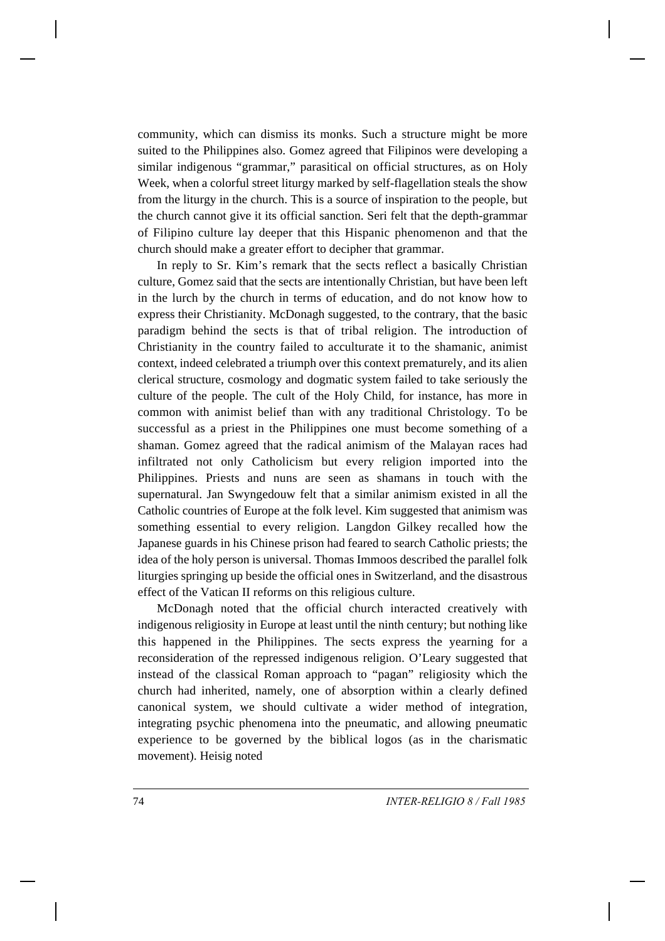community, which can dismiss its monks. Such a structure might be more suited to the Philippines also. Gomez agreed that Filipinos were developing a similar indigenous "grammar," parasitical on official structures, as on Holy Week, when a colorful street liturgy marked by self-flagellation steals the show from the liturgy in the church. This is a source of inspiration to the people, but the church cannot give it its official sanction. Seri felt that the depth-grammar of Filipino culture lay deeper that this Hispanic phenomenon and that the church should make a greater effort to decipher that grammar.

In reply to Sr. Kim's remark that the sects reflect a basically Christian culture, Gomez said that the sects are intentionally Christian, but have been left in the lurch by the church in terms of education, and do not know how to express their Christianity. McDonagh suggested, to the contrary, that the basic paradigm behind the sects is that of tribal religion. The introduction of Christianity in the country failed to acculturate it to the shamanic, animist context, indeed celebrated a triumph over this context prematurely, and its alien clerical structure, cosmology and dogmatic system failed to take seriously the culture of the people. The cult of the Holy Child, for instance, has more in common with animist belief than with any traditional Christology. To be successful as a priest in the Philippines one must become something of a shaman. Gomez agreed that the radical animism of the Malayan races had infiltrated not only Catholicism but every religion imported into the Philippines. Priests and nuns are seen as shamans in touch with the supernatural. Jan Swyngedouw felt that a similar animism existed in all the Catholic countries of Europe at the folk level. Kim suggested that animism was something essential to every religion. Langdon Gilkey recalled how the Japanese guards in his Chinese prison had feared to search Catholic priests; the idea of the holy person is universal. Thomas Immoos described the parallel folk liturgies springing up beside the official ones in Switzerland, and the disastrous effect of the Vatican II reforms on this religious culture.

McDonagh noted that the official church interacted creatively with indigenous religiosity in Europe at least until the ninth century; but nothing like this happened in the Philippines. The sects express the yearning for a reconsideration of the repressed indigenous religion. O'Leary suggested that instead of the classical Roman approach to "pagan" religiosity which the church had inherited, namely, one of absorption within a clearly defined canonical system, we should cultivate a wider method of integration, integrating psychic phenomena into the pneumatic, and allowing pneumatic experience to be governed by the biblical logos (as in the charismatic movement). Heisig noted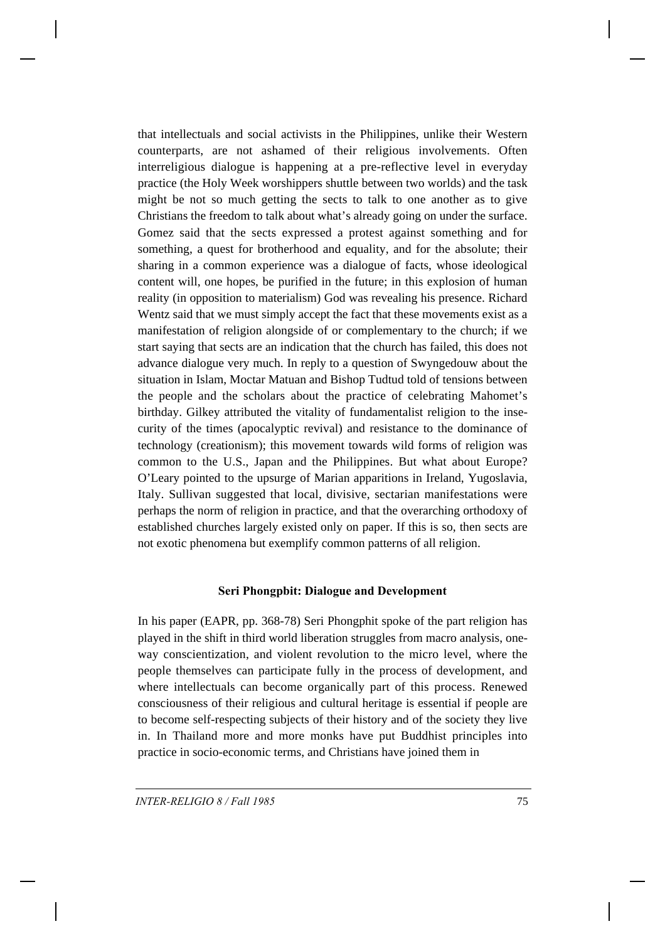that intellectuals and social activists in the Philippines, unlike their Western counterparts, are not ashamed of their religious involvements. Often interreligious dialogue is happening at a pre-reflective level in everyday practice (the Holy Week worshippers shuttle between two worlds) and the task might be not so much getting the sects to talk to one another as to give Christians the freedom to talk about what's already going on under the surface. Gomez said that the sects expressed a protest against something and for something, a quest for brotherhood and equality, and for the absolute; their sharing in a common experience was a dialogue of facts, whose ideological content will, one hopes, be purified in the future; in this explosion of human reality (in opposition to materialism) God was revealing his presence. Richard Wentz said that we must simply accept the fact that these movements exist as a manifestation of religion alongside of or complementary to the church; if we start saying that sects are an indication that the church has failed, this does not advance dialogue very much. In reply to a question of Swyngedouw about the situation in Islam, Moctar Matuan and Bishop Tudtud told of tensions between the people and the scholars about the practice of celebrating Mahomet's birthday. Gilkey attributed the vitality of fundamentalist religion to the insecurity of the times (apocalyptic revival) and resistance to the dominance of technology (creationism); this movement towards wild forms of religion was common to the U.S., Japan and the Philippines. But what about Europe? O'Leary pointed to the upsurge of Marian apparitions in Ireland, Yugoslavia, Italy. Sullivan suggested that local, divisive, sectarian manifestations were perhaps the norm of religion in practice, and that the overarching orthodoxy of established churches largely existed only on paper. If this is so, then sects are not exotic phenomena but exemplify common patterns of all religion.

### **Seri Phongpbit: Dialogue and Development**

In his paper (EAPR, pp. 368-78) Seri Phongphit spoke of the part religion has played in the shift in third world liberation struggles from macro analysis, oneway conscientization, and violent revolution to the micro level, where the people themselves can participate fully in the process of development, and where intellectuals can become organically part of this process. Renewed consciousness of their religious and cultural heritage is essential if people are to become self-respecting subjects of their history and of the society they live in. In Thailand more and more monks have put Buddhist principles into practice in socio-economic terms, and Christians have joined them in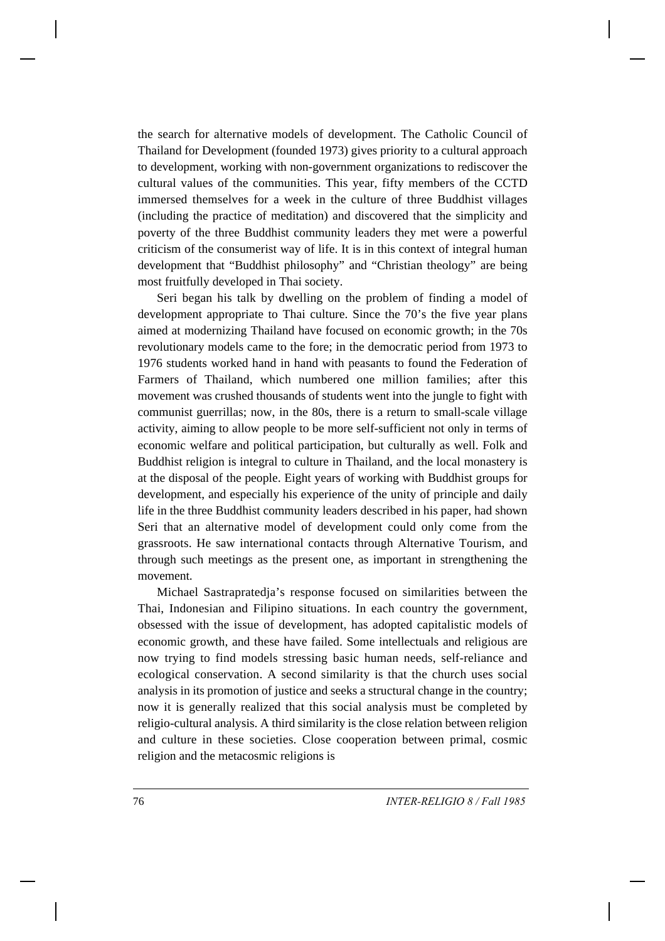the search for alternative models of development. The Catholic Council of Thailand for Development (founded 1973) gives priority to a cultural approach to development, working with non-government organizations to rediscover the cultural values of the communities. This year, fifty members of the CCTD immersed themselves for a week in the culture of three Buddhist villages (including the practice of meditation) and discovered that the simplicity and poverty of the three Buddhist community leaders they met were a powerful criticism of the consumerist way of life. It is in this context of integral human development that "Buddhist philosophy" and "Christian theology" are being most fruitfully developed in Thai society.

Seri began his talk by dwelling on the problem of finding a model of development appropriate to Thai culture. Since the 70's the five year plans aimed at modernizing Thailand have focused on economic growth; in the 70s revolutionary models came to the fore; in the democratic period from 1973 to 1976 students worked hand in hand with peasants to found the Federation of Farmers of Thailand, which numbered one million families; after this movement was crushed thousands of students went into the jungle to fight with communist guerrillas; now, in the 80s, there is a return to small-scale village activity, aiming to allow people to be more self-sufficient not only in terms of economic welfare and political participation, but culturally as well. Folk and Buddhist religion is integral to culture in Thailand, and the local monastery is at the disposal of the people. Eight years of working with Buddhist groups for development, and especially his experience of the unity of principle and daily life in the three Buddhist community leaders described in his paper, had shown Seri that an alternative model of development could only come from the grassroots. He saw international contacts through Alternative Tourism, and through such meetings as the present one, as important in strengthening the movement.

Michael Sastrapratedja's response focused on similarities between the Thai, Indonesian and Filipino situations. In each country the government, obsessed with the issue of development, has adopted capitalistic models of economic growth, and these have failed. Some intellectuals and religious are now trying to find models stressing basic human needs, self-reliance and ecological conservation. A second similarity is that the church uses social analysis in its promotion of justice and seeks a structural change in the country; now it is generally realized that this social analysis must be completed by religio-cultural analysis. A third similarity is the close relation between religion and culture in these societies. Close cooperation between primal, cosmic religion and the metacosmic religions is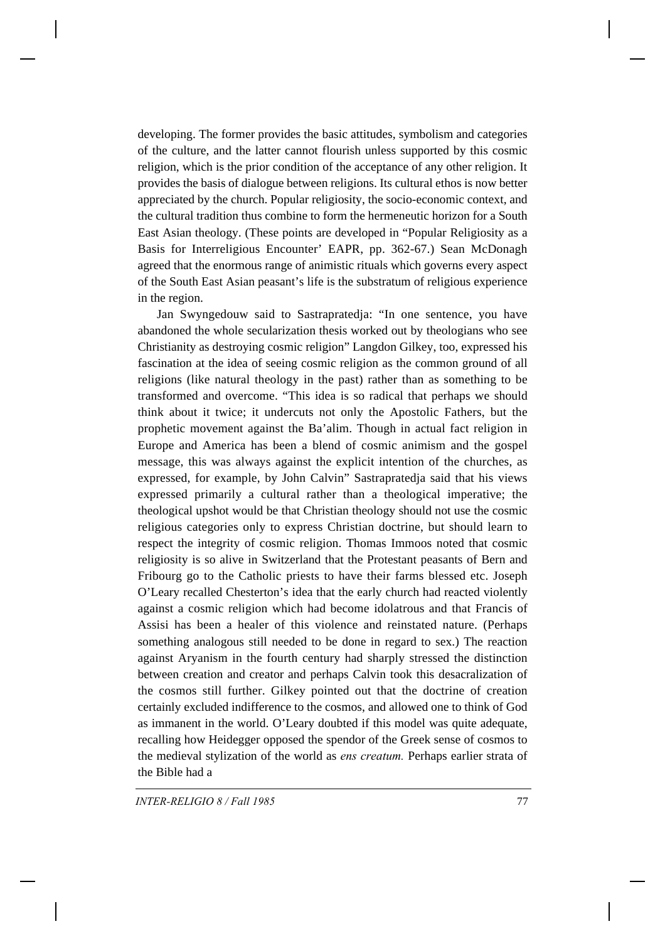developing. The former provides the basic attitudes, symbolism and categories of the culture, and the latter cannot flourish unless supported by this cosmic religion, which is the prior condition of the acceptance of any other religion. It provides the basis of dialogue between religions. Its cultural ethos is now better appreciated by the church. Popular religiosity, the socio-economic context, and the cultural tradition thus combine to form the hermeneutic horizon for a South East Asian theology. (These points are developed in "Popular Religiosity as a Basis for Interreligious Encounter' EAPR, pp. 362-67.) Sean McDonagh agreed that the enormous range of animistic rituals which governs every aspect of the South East Asian peasant's life is the substratum of religious experience in the region.

Jan Swyngedouw said to Sastrapratedja: "In one sentence, you have abandoned the whole secularization thesis worked out by theologians who see Christianity as destroying cosmic religion" Langdon Gilkey, too, expressed his fascination at the idea of seeing cosmic religion as the common ground of all religions (like natural theology in the past) rather than as something to be transformed and overcome. "This idea is so radical that perhaps we should think about it twice; it undercuts not only the Apostolic Fathers, but the prophetic movement against the Ba'alim. Though in actual fact religion in Europe and America has been a blend of cosmic animism and the gospel message, this was always against the explicit intention of the churches, as expressed, for example, by John Calvin" Sastrapratedja said that his views expressed primarily a cultural rather than a theological imperative; the theological upshot would be that Christian theology should not use the cosmic religious categories only to express Christian doctrine, but should learn to respect the integrity of cosmic religion. Thomas Immoos noted that cosmic religiosity is so alive in Switzerland that the Protestant peasants of Bern and Fribourg go to the Catholic priests to have their farms blessed etc. Joseph O'Leary recalled Chesterton's idea that the early church had reacted violently against a cosmic religion which had become idolatrous and that Francis of Assisi has been a healer of this violence and reinstated nature. (Perhaps something analogous still needed to be done in regard to sex.) The reaction against Aryanism in the fourth century had sharply stressed the distinction between creation and creator and perhaps Calvin took this desacralization of the cosmos still further. Gilkey pointed out that the doctrine of creation certainly excluded indifference to the cosmos, and allowed one to think of God as immanent in the world. O'Leary doubted if this model was quite adequate, recalling how Heidegger opposed the spendor of the Greek sense of cosmos to the medieval stylization of the world as *ens creatum.* Perhaps earlier strata of the Bible had a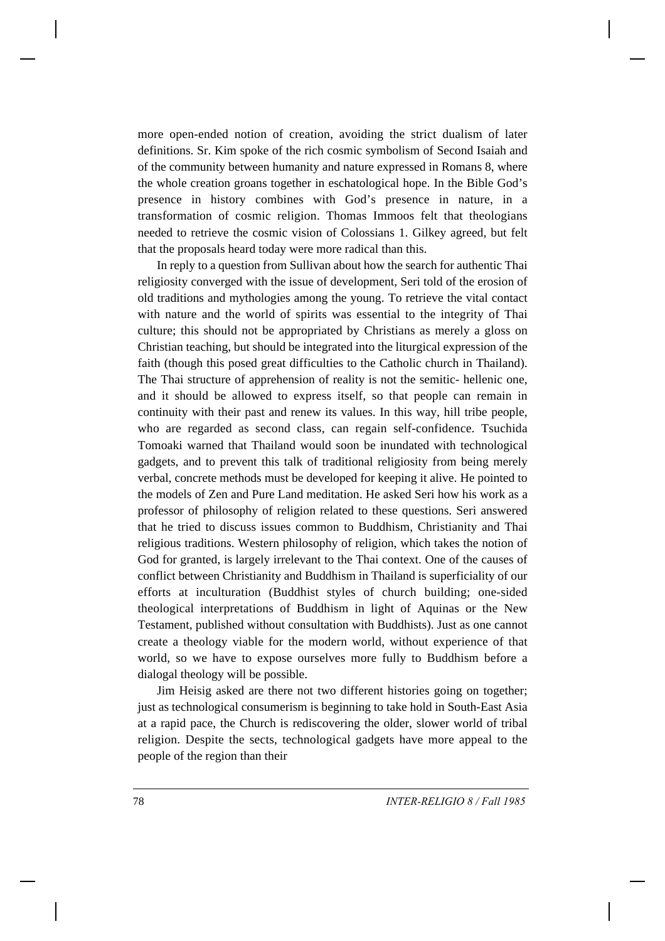more open-ended notion of creation, avoiding the strict dualism of later definitions. Sr. Kim spoke of the rich cosmic symbolism of Second Isaiah and of the community between humanity and nature expressed in Romans 8, where the whole creation groans together in eschatological hope. In the Bible God's presence in history combines with God's presence in nature, in a transformation of cosmic religion. Thomas Immoos felt that theologians needed to retrieve the cosmic vision of Colossians 1. Gilkey agreed, but felt that the proposals heard today were more radical than this.

In reply to a question from Sullivan about how the search for authentic Thai religiosity converged with the issue of development, Seri told of the erosion of old traditions and mythologies among the young. To retrieve the vital contact with nature and the world of spirits was essential to the integrity of Thai culture; this should not be appropriated by Christians as merely a gloss on Christian teaching, but should be integrated into the liturgical expression of the faith (though this posed great difficulties to the Catholic church in Thailand). The Thai structure of apprehension of reality is not the semitic- hellenic one, and it should be allowed to express itself, so that people can remain in continuity with their past and renew its values. In this way, hill tribe people, who are regarded as second class, can regain self-confidence. Tsuchida Tomoaki warned that Thailand would soon be inundated with technological gadgets, and to prevent this talk of traditional religiosity from being merely verbal, concrete methods must be developed for keeping it alive. He pointed to the models of Zen and Pure Land meditation. He asked Seri how his work as a professor of philosophy of religion related to these questions. Seri answered that he tried to discuss issues common to Buddhism, Christianity and Thai religious traditions. Western philosophy of religion, which takes the notion of God for granted, is largely irrelevant to the Thai context. One of the causes of conflict between Christianity and Buddhism in Thailand is superficiality of our efforts at inculturation (Buddhist styles of church building; one-sided theological interpretations of Buddhism in light of Aquinas or the New Testament, published without consultation with Buddhists). Just as one cannot create a theology viable for the modern world, without experience of that world, so we have to expose ourselves more fully to Buddhism before a dialogal theology will be possible.

Jim Heisig asked are there not two different histories going on together; just as technological consumerism is beginning to take hold in South-East Asia at a rapid pace, the Church is rediscovering the older, slower world of tribal religion. Despite the sects, technological gadgets have more appeal to the people of the region than their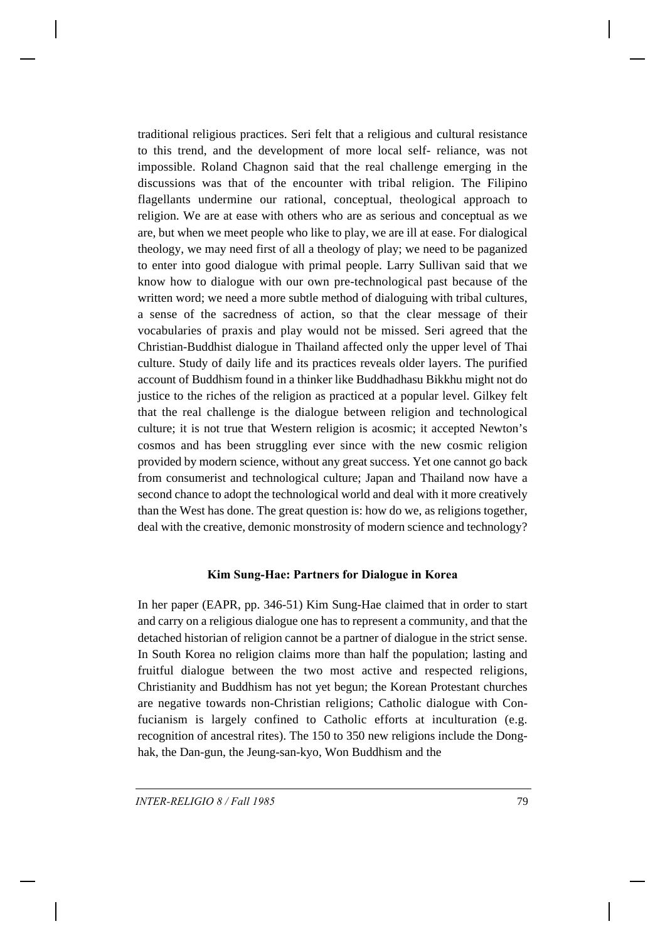traditional religious practices. Seri felt that a religious and cultural resistance to this trend, and the development of more local self- reliance, was not impossible. Roland Chagnon said that the real challenge emerging in the discussions was that of the encounter with tribal religion. The Filipino flagellants undermine our rational, conceptual, theological approach to religion. We are at ease with others who are as serious and conceptual as we are, but when we meet people who like to play, we are ill at ease. For dialogical theology, we may need first of all a theology of play; we need to be paganized to enter into good dialogue with primal people. Larry Sullivan said that we know how to dialogue with our own pre-technological past because of the written word; we need a more subtle method of dialoguing with tribal cultures, a sense of the sacredness of action, so that the clear message of their vocabularies of praxis and play would not be missed. Seri agreed that the Christian-Buddhist dialogue in Thailand affected only the upper level of Thai culture. Study of daily life and its practices reveals older layers. The purified account of Buddhism found in a thinker like Buddhadhasu Bikkhu might not do justice to the riches of the religion as practiced at a popular level. Gilkey felt that the real challenge is the dialogue between religion and technological culture; it is not true that Western religion is acosmic; it accepted Newton's cosmos and has been struggling ever since with the new cosmic religion provided by modern science, without any great success. Yet one cannot go back from consumerist and technological culture; Japan and Thailand now have a second chance to adopt the technological world and deal with it more creatively than the West has done. The great question is: how do we, as religions together, deal with the creative, demonic monstrosity of modern science and technology?

### **Kim Sung-Hae: Partners for Dialogue in Korea**

In her paper (EAPR, pp. 346-51) Kim Sung-Hae claimed that in order to start and carry on a religious dialogue one has to represent a community, and that the detached historian of religion cannot be a partner of dialogue in the strict sense. In South Korea no religion claims more than half the population; lasting and fruitful dialogue between the two most active and respected religions, Christianity and Buddhism has not yet begun; the Korean Protestant churches are negative towards non-Christian religions; Catholic dialogue with Confucianism is largely confined to Catholic efforts at inculturation (e.g. recognition of ancestral rites). The 150 to 350 new religions include the Donghak, the Dan-gun, the Jeung-san-kyo, Won Buddhism and the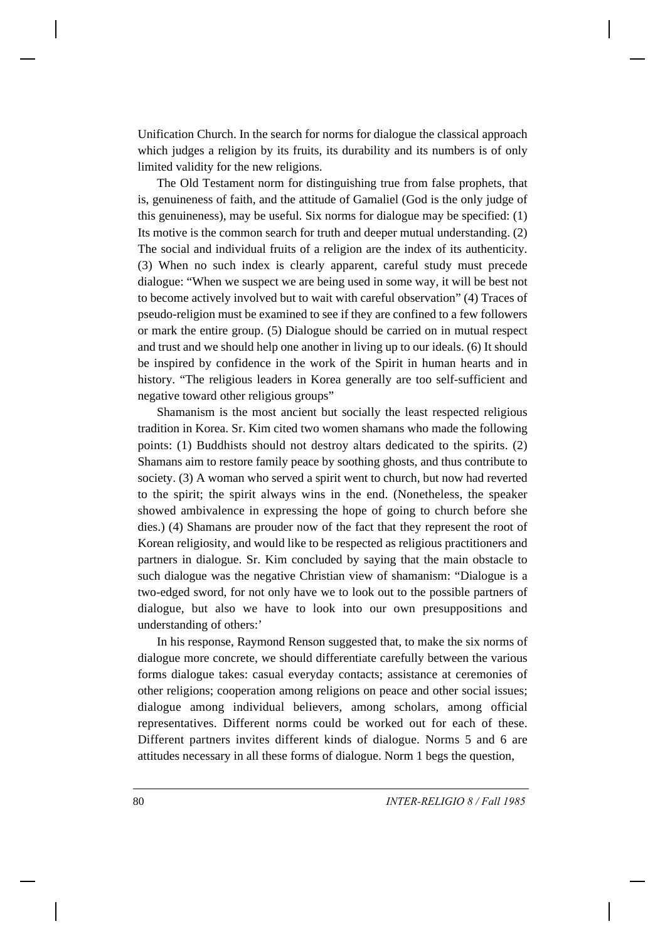Unification Church. In the search for norms for dialogue the classical approach which judges a religion by its fruits, its durability and its numbers is of only limited validity for the new religions.

The Old Testament norm for distinguishing true from false prophets, that is, genuineness of faith, and the attitude of Gamaliel (God is the only judge of this genuineness), may be useful. Six norms for dialogue may be specified: (1) Its motive is the common search for truth and deeper mutual understanding. (2) The social and individual fruits of a religion are the index of its authenticity. (3) When no such index is clearly apparent, careful study must precede dialogue: "When we suspect we are being used in some way, it will be best not to become actively involved but to wait with careful observation" (4) Traces of pseudo-religion must be examined to see if they are confined to a few followers or mark the entire group. (5) Dialogue should be carried on in mutual respect and trust and we should help one another in living up to our ideals. (6) It should be inspired by confidence in the work of the Spirit in human hearts and in history. "The religious leaders in Korea generally are too self-sufficient and negative toward other religious groups"

Shamanism is the most ancient but socially the least respected religious tradition in Korea. Sr. Kim cited two women shamans who made the following points: (1) Buddhists should not destroy altars dedicated to the spirits. (2) Shamans aim to restore family peace by soothing ghosts, and thus contribute to society. (3) A woman who served a spirit went to church, but now had reverted to the spirit; the spirit always wins in the end. (Nonetheless, the speaker showed ambivalence in expressing the hope of going to church before she dies.) (4) Shamans are prouder now of the fact that they represent the root of Korean religiosity, and would like to be respected as religious practitioners and partners in dialogue. Sr. Kim concluded by saying that the main obstacle to such dialogue was the negative Christian view of shamanism: "Dialogue is a two-edged sword, for not only have we to look out to the possible partners of dialogue, but also we have to look into our own presuppositions and understanding of others:'

In his response, Raymond Renson suggested that, to make the six norms of dialogue more concrete, we should differentiate carefully between the various forms dialogue takes: casual everyday contacts; assistance at ceremonies of other religions; cooperation among religions on peace and other social issues; dialogue among individual believers, among scholars, among official representatives. Different norms could be worked out for each of these. Different partners invites different kinds of dialogue. Norms 5 and 6 are attitudes necessary in all these forms of dialogue. Norm 1 begs the question,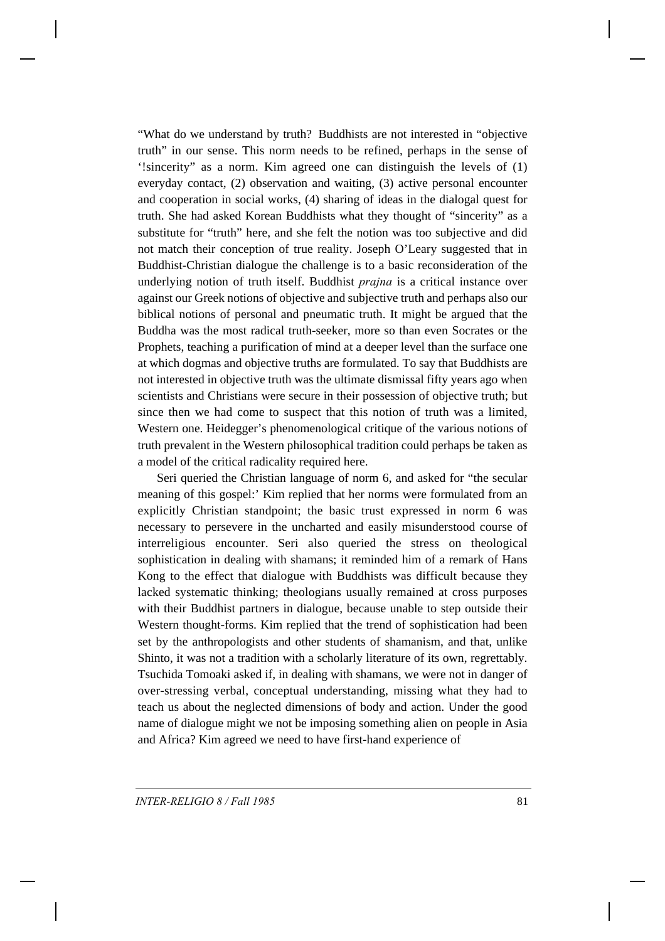"What do we understand by truth? Buddhists are not interested in "objective truth" in our sense. This norm needs to be refined, perhaps in the sense of '!sincerity" as a norm. Kim agreed one can distinguish the levels of (1) everyday contact, (2) observation and waiting, (3) active personal encounter and cooperation in social works, (4) sharing of ideas in the dialogal quest for truth. She had asked Korean Buddhists what they thought of "sincerity" as a substitute for "truth" here, and she felt the notion was too subjective and did not match their conception of true reality. Joseph O'Leary suggested that in Buddhist-Christian dialogue the challenge is to a basic reconsideration of the underlying notion of truth itself. Buddhist *prajna* is a critical instance over against our Greek notions of objective and subjective truth and perhaps also our biblical notions of personal and pneumatic truth. It might be argued that the Buddha was the most radical truth-seeker, more so than even Socrates or the Prophets, teaching a purification of mind at a deeper level than the surface one at which dogmas and objective truths are formulated. To say that Buddhists are not interested in objective truth was the ultimate dismissal fifty years ago when scientists and Christians were secure in their possession of objective truth; but since then we had come to suspect that this notion of truth was a limited, Western one. Heidegger's phenomenological critique of the various notions of truth prevalent in the Western philosophical tradition could perhaps be taken as a model of the critical radicality required here.

Seri queried the Christian language of norm 6, and asked for "the secular meaning of this gospel:' Kim replied that her norms were formulated from an explicitly Christian standpoint; the basic trust expressed in norm 6 was necessary to persevere in the uncharted and easily misunderstood course of interreligious encounter. Seri also queried the stress on theological sophistication in dealing with shamans; it reminded him of a remark of Hans Kong to the effect that dialogue with Buddhists was difficult because they lacked systematic thinking; theologians usually remained at cross purposes with their Buddhist partners in dialogue, because unable to step outside their Western thought-forms. Kim replied that the trend of sophistication had been set by the anthropologists and other students of shamanism, and that, unlike Shinto, it was not a tradition with a scholarly literature of its own, regrettably. Tsuchida Tomoaki asked if, in dealing with shamans, we were not in danger of over-stressing verbal, conceptual understanding, missing what they had to teach us about the neglected dimensions of body and action. Under the good name of dialogue might we not be imposing something alien on people in Asia and Africa? Kim agreed we need to have first-hand experience of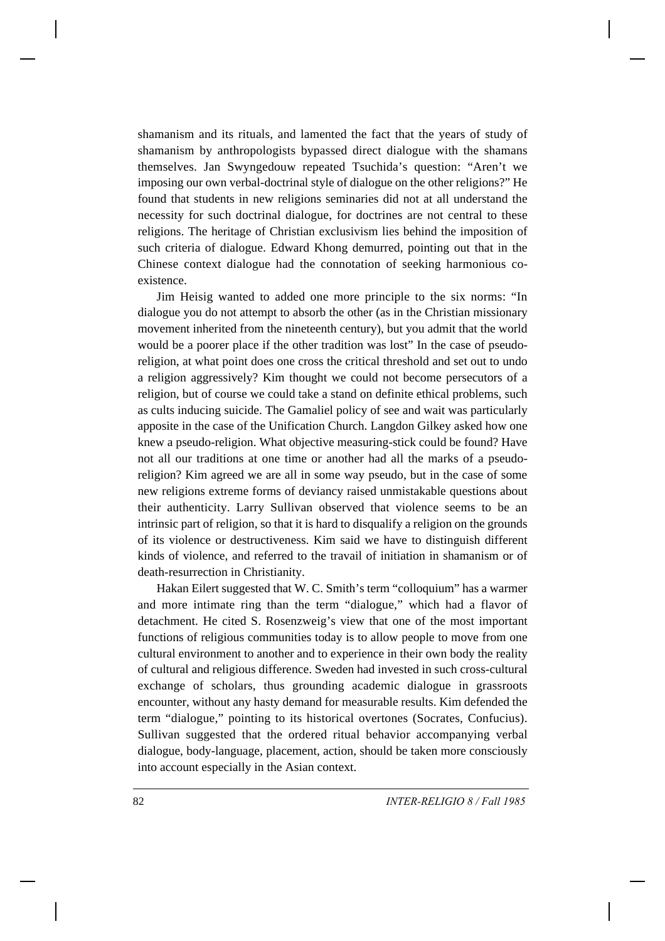shamanism and its rituals, and lamented the fact that the years of study of shamanism by anthropologists bypassed direct dialogue with the shamans themselves. Jan Swyngedouw repeated Tsuchida's question: "Aren't we imposing our own verbal-doctrinal style of dialogue on the other religions?" He found that students in new religions seminaries did not at all understand the necessity for such doctrinal dialogue, for doctrines are not central to these religions. The heritage of Christian exclusivism lies behind the imposition of such criteria of dialogue. Edward Khong demurred, pointing out that in the Chinese context dialogue had the connotation of seeking harmonious coexistence.

Jim Heisig wanted to added one more principle to the six norms: "In dialogue you do not attempt to absorb the other (as in the Christian missionary movement inherited from the nineteenth century), but you admit that the world would be a poorer place if the other tradition was lost" In the case of pseudoreligion, at what point does one cross the critical threshold and set out to undo a religion aggressively? Kim thought we could not become persecutors of a religion, but of course we could take a stand on definite ethical problems, such as cults inducing suicide. The Gamaliel policy of see and wait was particularly apposite in the case of the Unification Church. Langdon Gilkey asked how one knew a pseudo-religion. What objective measuring-stick could be found? Have not all our traditions at one time or another had all the marks of a pseudoreligion? Kim agreed we are all in some way pseudo, but in the case of some new religions extreme forms of deviancy raised unmistakable questions about their authenticity. Larry Sullivan observed that violence seems to be an intrinsic part of religion, so that it is hard to disqualify a religion on the grounds of its violence or destructiveness. Kim said we have to distinguish different kinds of violence, and referred to the travail of initiation in shamanism or of death-resurrection in Christianity.

Hakan Eilert suggested that W. C. Smith's term "colloquium" has a warmer and more intimate ring than the term "dialogue," which had a flavor of detachment. He cited S. Rosenzweig's view that one of the most important functions of religious communities today is to allow people to move from one cultural environment to another and to experience in their own body the reality of cultural and religious difference. Sweden had invested in such cross-cultural exchange of scholars, thus grounding academic dialogue in grassroots encounter, without any hasty demand for measurable results. Kim defended the term "dialogue," pointing to its historical overtones (Socrates, Confucius). Sullivan suggested that the ordered ritual behavior accompanying verbal dialogue, body-language, placement, action, should be taken more consciously into account especially in the Asian context.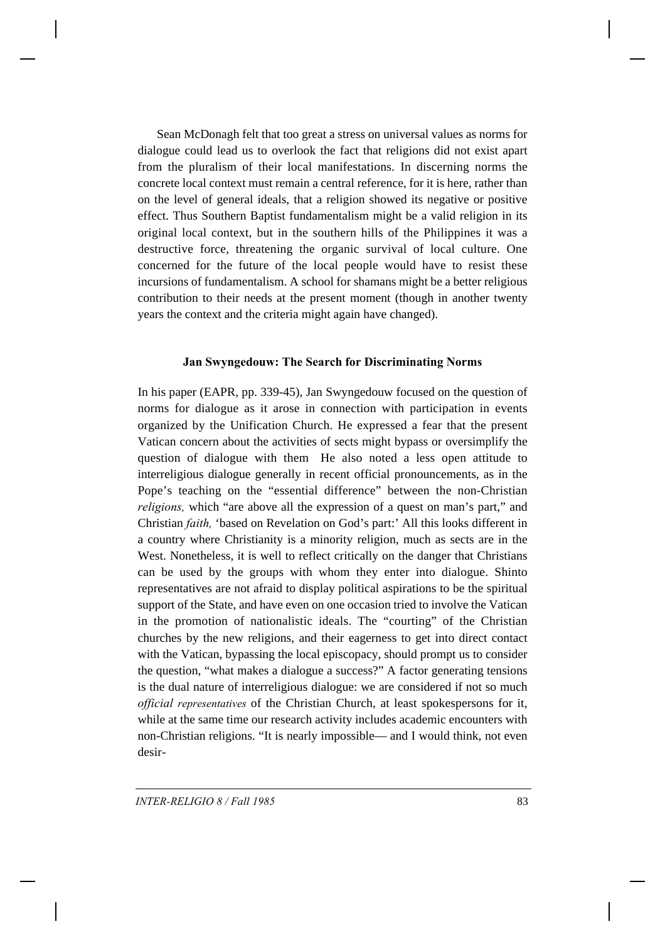Sean McDonagh felt that too great a stress on universal values as norms for dialogue could lead us to overlook the fact that religions did not exist apart from the pluralism of their local manifestations. In discerning norms the concrete local context must remain a central reference, for it is here, rather than on the level of general ideals, that a religion showed its negative or positive effect. Thus Southern Baptist fundamentalism might be a valid religion in its original local context, but in the southern hills of the Philippines it was a destructive force, threatening the organic survival of local culture. One concerned for the future of the local people would have to resist these incursions of fundamentalism. A school for shamans might be a better religious contribution to their needs at the present moment (though in another twenty years the context and the criteria might again have changed).

### **Jan Swyngedouw: The Search for Discriminating Norms**

In his paper (EAPR, pp. 339-45), Jan Swyngedouw focused on the question of norms for dialogue as it arose in connection with participation in events organized by the Unification Church. He expressed a fear that the present Vatican concern about the activities of sects might bypass or oversimplify the question of dialogue with them He also noted a less open attitude to interreligious dialogue generally in recent official pronouncements, as in the Pope's teaching on the "essential difference" between the non-Christian *religions*, which "are above all the expression of a quest on man's part," and Christian *faith,* 'based on Revelation on God's part:' All this looks different in a country where Christianity is a minority religion, much as sects are in the West. Nonetheless, it is well to reflect critically on the danger that Christians can be used by the groups with whom they enter into dialogue. Shinto representatives are not afraid to display political aspirations to be the spiritual support of the State, and have even on one occasion tried to involve the Vatican in the promotion of nationalistic ideals. The "courting" of the Christian churches by the new religions, and their eagerness to get into direct contact with the Vatican, bypassing the local episcopacy, should prompt us to consider the question, "what makes a dialogue a success?" A factor generating tensions is the dual nature of interreligious dialogue: we are considered if not so much *official representatives* of the Christian Church, at least spokespersons for it, while at the same time our research activity includes academic encounters with non-Christian religions. "It is nearly impossible— and I would think, not even desir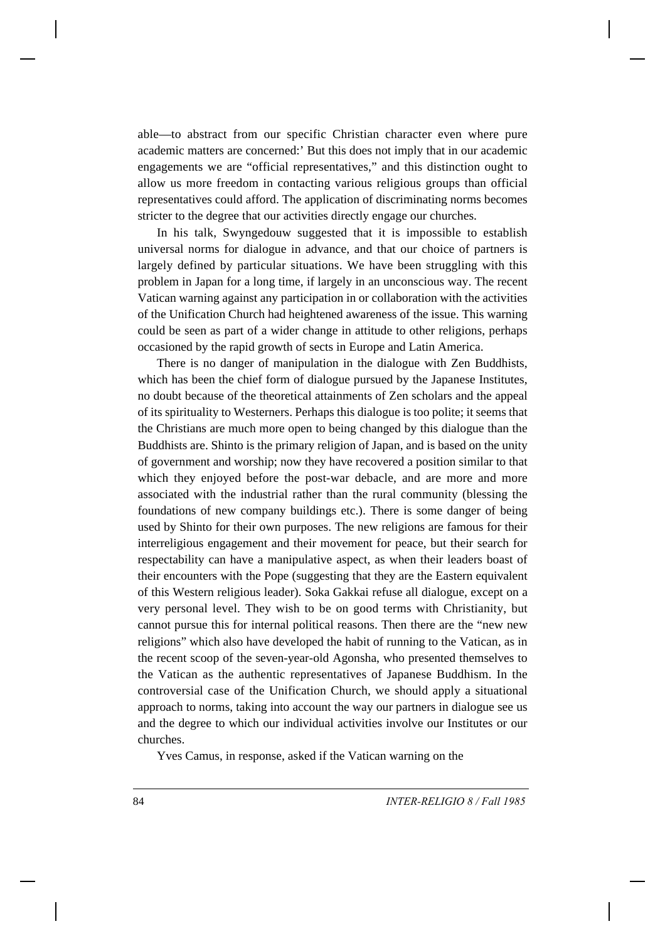able—to abstract from our specific Christian character even where pure academic matters are concerned:' But this does not imply that in our academic engagements we are "official representatives," and this distinction ought to allow us more freedom in contacting various religious groups than official representatives could afford. The application of discriminating norms becomes stricter to the degree that our activities directly engage our churches.

In his talk, Swyngedouw suggested that it is impossible to establish universal norms for dialogue in advance, and that our choice of partners is largely defined by particular situations. We have been struggling with this problem in Japan for a long time, if largely in an unconscious way. The recent Vatican warning against any participation in or collaboration with the activities of the Unification Church had heightened awareness of the issue. This warning could be seen as part of a wider change in attitude to other religions, perhaps occasioned by the rapid growth of sects in Europe and Latin America.

There is no danger of manipulation in the dialogue with Zen Buddhists, which has been the chief form of dialogue pursued by the Japanese Institutes, no doubt because of the theoretical attainments of Zen scholars and the appeal of its spirituality to Westerners. Perhaps this dialogue is too polite; it seems that the Christians are much more open to being changed by this dialogue than the Buddhists are. Shinto is the primary religion of Japan, and is based on the unity of government and worship; now they have recovered a position similar to that which they enjoyed before the post-war debacle, and are more and more associated with the industrial rather than the rural community (blessing the foundations of new company buildings etc.). There is some danger of being used by Shinto for their own purposes. The new religions are famous for their interreligious engagement and their movement for peace, but their search for respectability can have a manipulative aspect, as when their leaders boast of their encounters with the Pope (suggesting that they are the Eastern equivalent of this Western religious leader). Soka Gakkai refuse all dialogue, except on a very personal level. They wish to be on good terms with Christianity, but cannot pursue this for internal political reasons. Then there are the "new new religions" which also have developed the habit of running to the Vatican, as in the recent scoop of the seven-year-old Agonsha, who presented themselves to the Vatican as the authentic representatives of Japanese Buddhism. In the controversial case of the Unification Church, we should apply a situational approach to norms, taking into account the way our partners in dialogue see us and the degree to which our individual activities involve our Institutes or our churches.

Yves Camus, in response, asked if the Vatican warning on the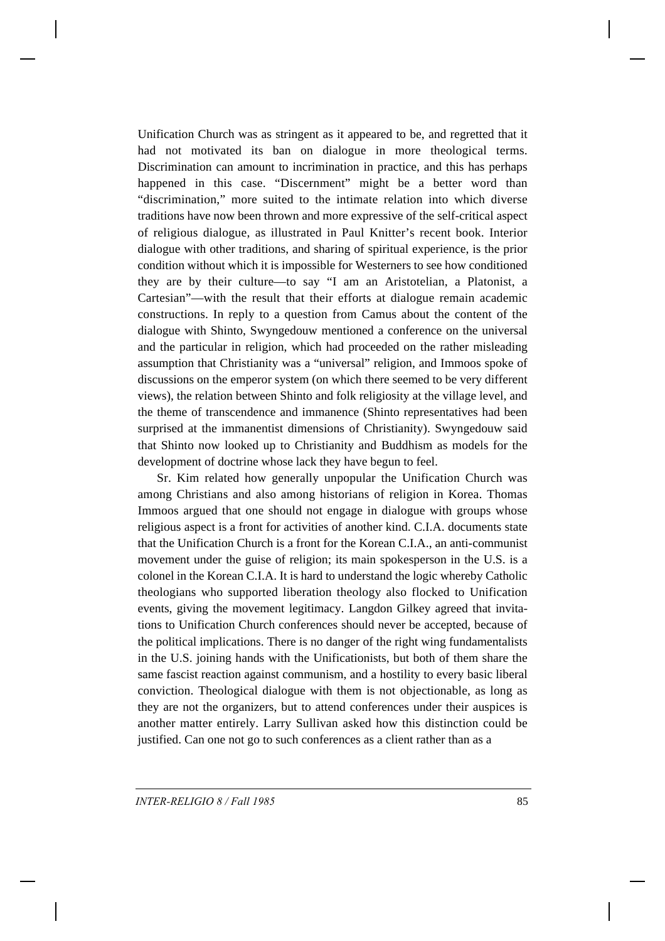Unification Church was as stringent as it appeared to be, and regretted that it had not motivated its ban on dialogue in more theological terms. Discrimination can amount to incrimination in practice, and this has perhaps happened in this case. "Discernment" might be a better word than "discrimination," more suited to the intimate relation into which diverse traditions have now been thrown and more expressive of the self-critical aspect of religious dialogue, as illustrated in Paul Knitter's recent book. Interior dialogue with other traditions, and sharing of spiritual experience, is the prior condition without which it is impossible for Westerners to see how conditioned they are by their culture—to say "I am an Aristotelian, a Platonist, a Cartesian"—with the result that their efforts at dialogue remain academic constructions. In reply to a question from Camus about the content of the dialogue with Shinto, Swyngedouw mentioned a conference on the universal and the particular in religion, which had proceeded on the rather misleading assumption that Christianity was a "universal" religion, and Immoos spoke of discussions on the emperor system (on which there seemed to be very different views), the relation between Shinto and folk religiosity at the village level, and the theme of transcendence and immanence (Shinto representatives had been surprised at the immanentist dimensions of Christianity). Swyngedouw said that Shinto now looked up to Christianity and Buddhism as models for the development of doctrine whose lack they have begun to feel.

Sr. Kim related how generally unpopular the Unification Church was among Christians and also among historians of religion in Korea. Thomas Immoos argued that one should not engage in dialogue with groups whose religious aspect is a front for activities of another kind. C.I.A. documents state that the Unification Church is a front for the Korean C.I.A., an anti-communist movement under the guise of religion; its main spokesperson in the U.S. is a colonel in the Korean C.I.A. It is hard to understand the logic whereby Catholic theologians who supported liberation theology also flocked to Unification events, giving the movement legitimacy. Langdon Gilkey agreed that invitations to Unification Church conferences should never be accepted, because of the political implications. There is no danger of the right wing fundamentalists in the U.S. joining hands with the Unificationists, but both of them share the same fascist reaction against communism, and a hostility to every basic liberal conviction. Theological dialogue with them is not objectionable, as long as they are not the organizers, but to attend conferences under their auspices is another matter entirely. Larry Sullivan asked how this distinction could be justified. Can one not go to such conferences as a client rather than as a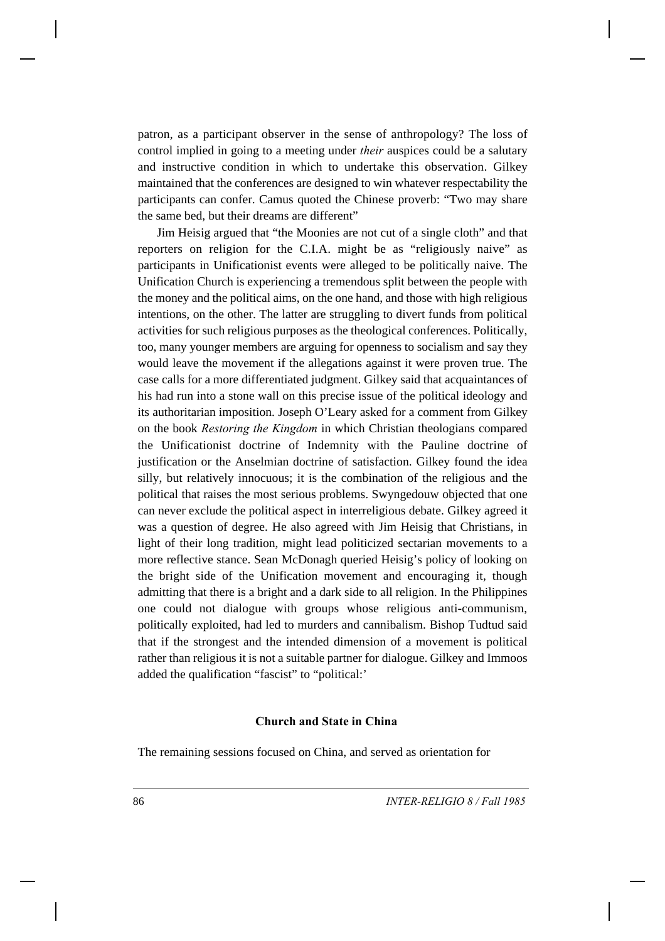patron, as a participant observer in the sense of anthropology? The loss of control implied in going to a meeting under *their* auspices could be a salutary and instructive condition in which to undertake this observation. Gilkey maintained that the conferences are designed to win whatever respectability the participants can confer. Camus quoted the Chinese proverb: "Two may share the same bed, but their dreams are different"

Jim Heisig argued that "the Moonies are not cut of a single cloth" and that reporters on religion for the C.I.A. might be as "religiously naive" as participants in Unificationist events were alleged to be politically naive. The Unification Church is experiencing a tremendous split between the people with the money and the political aims, on the one hand, and those with high religious intentions, on the other. The latter are struggling to divert funds from political activities for such religious purposes as the theological conferences. Politically, too, many younger members are arguing for openness to socialism and say they would leave the movement if the allegations against it were proven true. The case calls for a more differentiated judgment. Gilkey said that acquaintances of his had run into a stone wall on this precise issue of the political ideology and its authoritarian imposition. Joseph O'Leary asked for a comment from Gilkey on the book *Restoring the Kingdom* in which Christian theologians compared the Unificationist doctrine of Indemnity with the Pauline doctrine of justification or the Anselmian doctrine of satisfaction. Gilkey found the idea silly, but relatively innocuous; it is the combination of the religious and the political that raises the most serious problems. Swyngedouw objected that one can never exclude the political aspect in interreligious debate. Gilkey agreed it was a question of degree. He also agreed with Jim Heisig that Christians, in light of their long tradition, might lead politicized sectarian movements to a more reflective stance. Sean McDonagh queried Heisig's policy of looking on the bright side of the Unification movement and encouraging it, though admitting that there is a bright and a dark side to all religion. In the Philippines one could not dialogue with groups whose religious anti-communism, politically exploited, had led to murders and cannibalism. Bishop Tudtud said that if the strongest and the intended dimension of a movement is political rather than religious it is not a suitable partner for dialogue. Gilkey and Immoos added the qualification "fascist" to "political:'

#### **Church and State in China**

The remaining sessions focused on China, and served as orientation for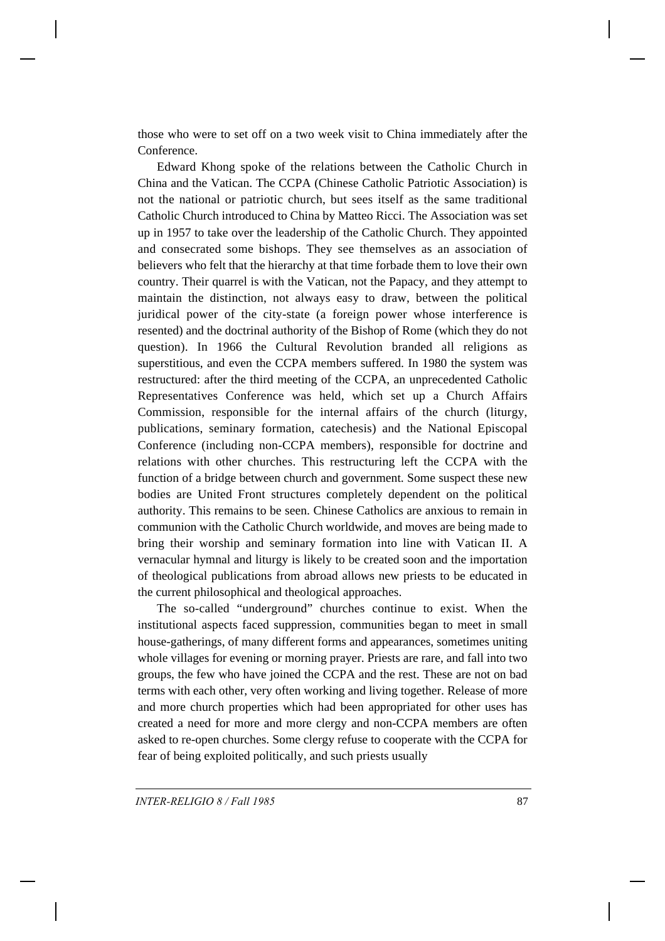those who were to set off on a two week visit to China immediately after the Conference.

Edward Khong spoke of the relations between the Catholic Church in China and the Vatican. The CCPA (Chinese Catholic Patriotic Association) is not the national or patriotic church, but sees itself as the same traditional Catholic Church introduced to China by Matteo Ricci. The Association was set up in 1957 to take over the leadership of the Catholic Church. They appointed and consecrated some bishops. They see themselves as an association of believers who felt that the hierarchy at that time forbade them to love their own country. Their quarrel is with the Vatican, not the Papacy, and they attempt to maintain the distinction, not always easy to draw, between the political juridical power of the city-state (a foreign power whose interference is resented) and the doctrinal authority of the Bishop of Rome (which they do not question). In 1966 the Cultural Revolution branded all religions as superstitious, and even the CCPA members suffered. In 1980 the system was restructured: after the third meeting of the CCPA, an unprecedented Catholic Representatives Conference was held, which set up a Church Affairs Commission, responsible for the internal affairs of the church (liturgy, publications, seminary formation, catechesis) and the National Episcopal Conference (including non-CCPA members), responsible for doctrine and relations with other churches. This restructuring left the CCPA with the function of a bridge between church and government. Some suspect these new bodies are United Front structures completely dependent on the political authority. This remains to be seen. Chinese Catholics are anxious to remain in communion with the Catholic Church worldwide, and moves are being made to bring their worship and seminary formation into line with Vatican II. A vernacular hymnal and liturgy is likely to be created soon and the importation of theological publications from abroad allows new priests to be educated in the current philosophical and theological approaches.

The so-called "underground" churches continue to exist. When the institutional aspects faced suppression, communities began to meet in small house-gatherings, of many different forms and appearances, sometimes uniting whole villages for evening or morning prayer. Priests are rare, and fall into two groups, the few who have joined the CCPA and the rest. These are not on bad terms with each other, very often working and living together. Release of more and more church properties which had been appropriated for other uses has created a need for more and more clergy and non-CCPA members are often asked to re-open churches. Some clergy refuse to cooperate with the CCPA for fear of being exploited politically, and such priests usually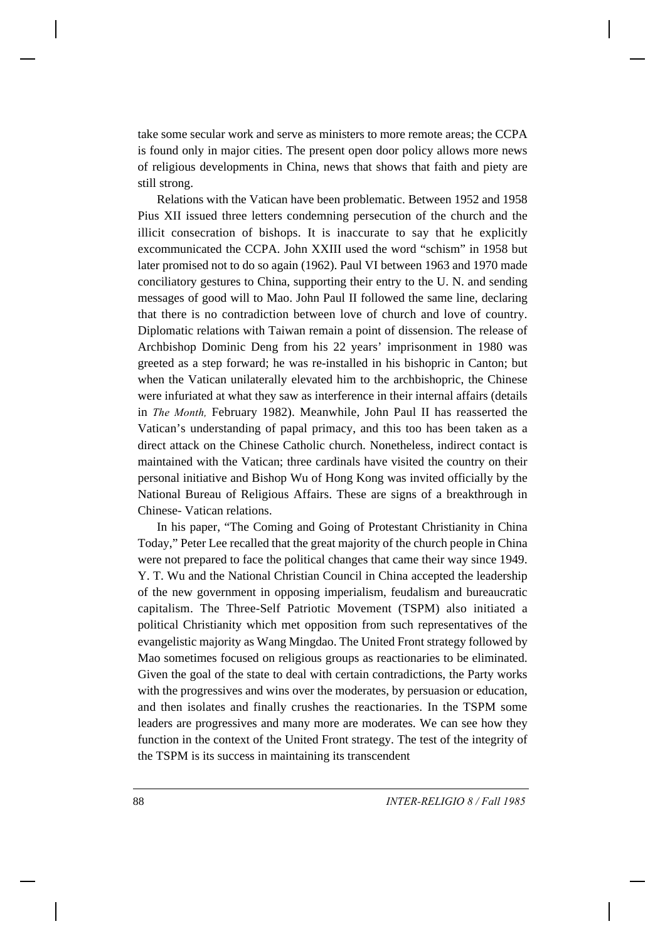take some secular work and serve as ministers to more remote areas; the CCPA is found only in major cities. The present open door policy allows more news of religious developments in China, news that shows that faith and piety are still strong.

Relations with the Vatican have been problematic. Between 1952 and 1958 Pius XII issued three letters condemning persecution of the church and the illicit consecration of bishops. It is inaccurate to say that he explicitly excommunicated the CCPA. John XXIII used the word "schism" in 1958 but later promised not to do so again (1962). Paul VI between 1963 and 1970 made conciliatory gestures to China, supporting their entry to the U. N. and sending messages of good will to Mao. John Paul II followed the same line, declaring that there is no contradiction between love of church and love of country. Diplomatic relations with Taiwan remain a point of dissension. The release of Archbishop Dominic Deng from his 22 years' imprisonment in 1980 was greeted as a step forward; he was re-installed in his bishopric in Canton; but when the Vatican unilaterally elevated him to the archbishopric, the Chinese were infuriated at what they saw as interference in their internal affairs (details in *The Month,* February 1982). Meanwhile, John Paul II has reasserted the Vatican's understanding of papal primacy, and this too has been taken as a direct attack on the Chinese Catholic church. Nonetheless, indirect contact is maintained with the Vatican; three cardinals have visited the country on their personal initiative and Bishop Wu of Hong Kong was invited officially by the National Bureau of Religious Affairs. These are signs of a breakthrough in Chinese- Vatican relations.

In his paper, "The Coming and Going of Protestant Christianity in China Today," Peter Lee recalled that the great majority of the church people in China were not prepared to face the political changes that came their way since 1949. Y. T. Wu and the National Christian Council in China accepted the leadership of the new government in opposing imperialism, feudalism and bureaucratic capitalism. The Three-Self Patriotic Movement (TSPM) also initiated a political Christianity which met opposition from such representatives of the evangelistic majority as Wang Mingdao. The United Front strategy followed by Mao sometimes focused on religious groups as reactionaries to be eliminated. Given the goal of the state to deal with certain contradictions, the Party works with the progressives and wins over the moderates, by persuasion or education, and then isolates and finally crushes the reactionaries. In the TSPM some leaders are progressives and many more are moderates. We can see how they function in the context of the United Front strategy. The test of the integrity of the TSPM is its success in maintaining its transcendent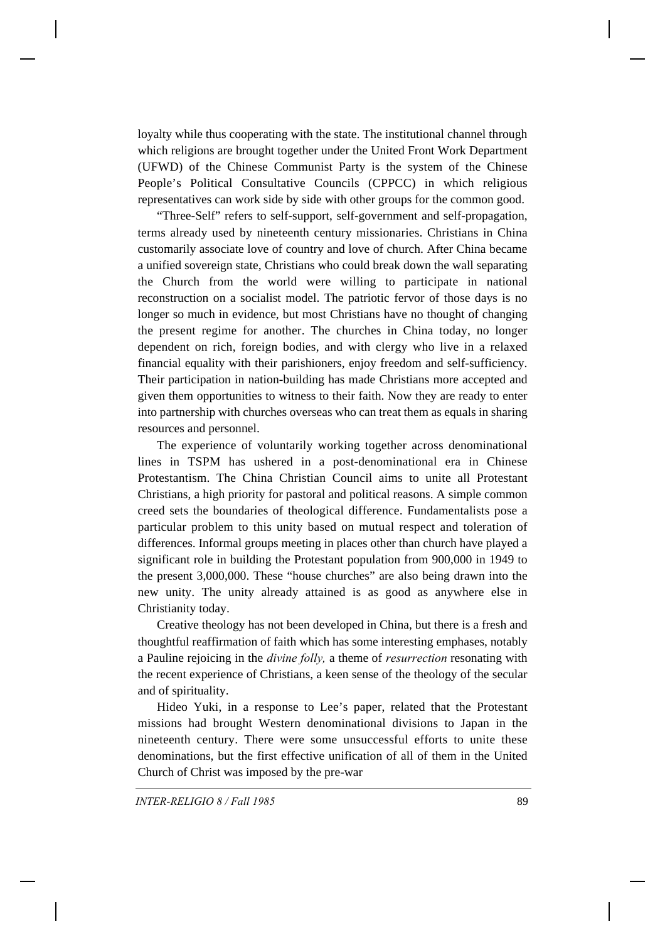loyalty while thus cooperating with the state. The institutional channel through which religions are brought together under the United Front Work Department (UFWD) of the Chinese Communist Party is the system of the Chinese People's Political Consultative Councils (CPPCC) in which religious representatives can work side by side with other groups for the common good.

"Three-Self" refers to self-support, self-government and self-propagation, terms already used by nineteenth century missionaries. Christians in China customarily associate love of country and love of church. After China became a unified sovereign state, Christians who could break down the wall separating the Church from the world were willing to participate in national reconstruction on a socialist model. The patriotic fervor of those days is no longer so much in evidence, but most Christians have no thought of changing the present regime for another. The churches in China today, no longer dependent on rich, foreign bodies, and with clergy who live in a relaxed financial equality with their parishioners, enjoy freedom and self-sufficiency. Their participation in nation-building has made Christians more accepted and given them opportunities to witness to their faith. Now they are ready to enter into partnership with churches overseas who can treat them as equals in sharing resources and personnel.

The experience of voluntarily working together across denominational lines in TSPM has ushered in a post-denominational era in Chinese Protestantism. The China Christian Council aims to unite all Protestant Christians, a high priority for pastoral and political reasons. A simple common creed sets the boundaries of theological difference. Fundamentalists pose a particular problem to this unity based on mutual respect and toleration of differences. Informal groups meeting in places other than church have played a significant role in building the Protestant population from 900,000 in 1949 to the present 3,000,000. These "house churches" are also being drawn into the new unity. The unity already attained is as good as anywhere else in Christianity today.

Creative theology has not been developed in China, but there is a fresh and thoughtful reaffirmation of faith which has some interesting emphases, notably a Pauline rejoicing in the *divine folly,* a theme of *resurrection* resonating with the recent experience of Christians, a keen sense of the theology of the secular and of spirituality.

Hideo Yuki, in a response to Lee's paper, related that the Protestant missions had brought Western denominational divisions to Japan in the nineteenth century. There were some unsuccessful efforts to unite these denominations, but the first effective unification of all of them in the United Church of Christ was imposed by the pre-war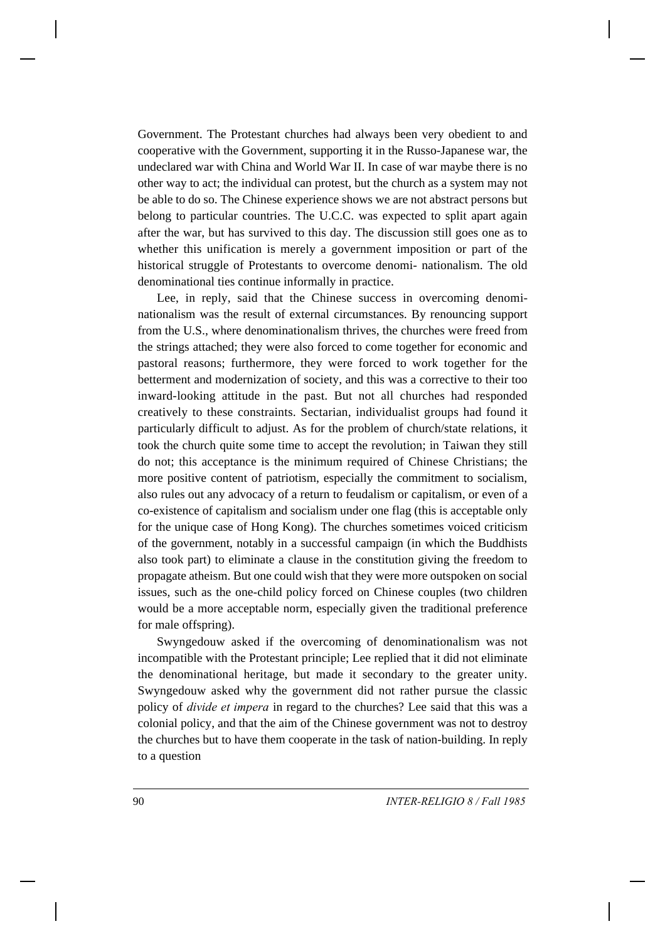Government. The Protestant churches had always been very obedient to and cooperative with the Government, supporting it in the Russo-Japanese war, the undeclared war with China and World War II. In case of war maybe there is no other way to act; the individual can protest, but the church as a system may not be able to do so. The Chinese experience shows we are not abstract persons but belong to particular countries. The U.C.C. was expected to split apart again after the war, but has survived to this day. The discussion still goes one as to whether this unification is merely a government imposition or part of the historical struggle of Protestants to overcome denomi- nationalism. The old denominational ties continue informally in practice.

Lee, in reply, said that the Chinese success in overcoming denominationalism was the result of external circumstances. By renouncing support from the U.S., where denominationalism thrives, the churches were freed from the strings attached; they were also forced to come together for economic and pastoral reasons; furthermore, they were forced to work together for the betterment and modernization of society, and this was a corrective to their too inward-looking attitude in the past. But not all churches had responded creatively to these constraints. Sectarian, individualist groups had found it particularly difficult to adjust. As for the problem of church/state relations, it took the church quite some time to accept the revolution; in Taiwan they still do not; this acceptance is the minimum required of Chinese Christians; the more positive content of patriotism, especially the commitment to socialism, also rules out any advocacy of a return to feudalism or capitalism, or even of a co-existence of capitalism and socialism under one flag (this is acceptable only for the unique case of Hong Kong). The churches sometimes voiced criticism of the government, notably in a successful campaign (in which the Buddhists also took part) to eliminate a clause in the constitution giving the freedom to propagate atheism. But one could wish that they were more outspoken on social issues, such as the one-child policy forced on Chinese couples (two children would be a more acceptable norm, especially given the traditional preference for male offspring).

Swyngedouw asked if the overcoming of denominationalism was not incompatible with the Protestant principle; Lee replied that it did not eliminate the denominational heritage, but made it secondary to the greater unity. Swyngedouw asked why the government did not rather pursue the classic policy of *divide et impera* in regard to the churches? Lee said that this was a colonial policy, and that the aim of the Chinese government was not to destroy the churches but to have them cooperate in the task of nation-building. In reply to a question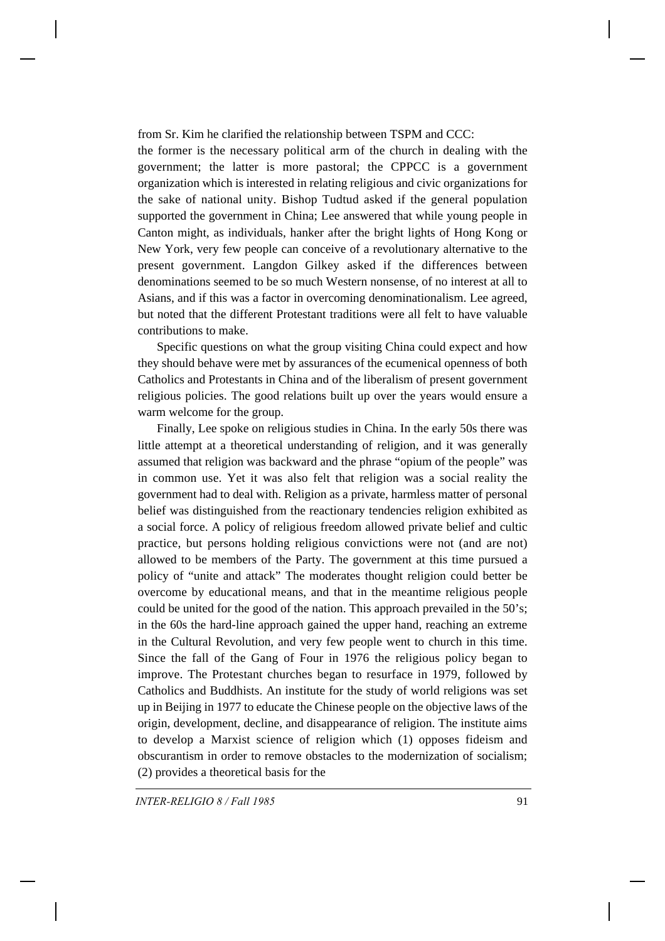from Sr. Kim he clarified the relationship between TSPM and CCC:

the former is the necessary political arm of the church in dealing with the government; the latter is more pastoral; the CPPCC is a government organization which is interested in relating religious and civic organizations for the sake of national unity. Bishop Tudtud asked if the general population supported the government in China; Lee answered that while young people in Canton might, as individuals, hanker after the bright lights of Hong Kong or New York, very few people can conceive of a revolutionary alternative to the present government. Langdon Gilkey asked if the differences between denominations seemed to be so much Western nonsense, of no interest at all to Asians, and if this was a factor in overcoming denominationalism. Lee agreed, but noted that the different Protestant traditions were all felt to have valuable contributions to make.

Specific questions on what the group visiting China could expect and how they should behave were met by assurances of the ecumenical openness of both Catholics and Protestants in China and of the liberalism of present government religious policies. The good relations built up over the years would ensure a warm welcome for the group.

Finally, Lee spoke on religious studies in China. In the early 50s there was little attempt at a theoretical understanding of religion, and it was generally assumed that religion was backward and the phrase "opium of the people" was in common use. Yet it was also felt that religion was a social reality the government had to deal with. Religion as a private, harmless matter of personal belief was distinguished from the reactionary tendencies religion exhibited as a social force. A policy of religious freedom allowed private belief and cultic practice, but persons holding religious convictions were not (and are not) allowed to be members of the Party. The government at this time pursued a policy of "unite and attack" The moderates thought religion could better be overcome by educational means, and that in the meantime religious people could be united for the good of the nation. This approach prevailed in the 50's; in the 60s the hard-line approach gained the upper hand, reaching an extreme in the Cultural Revolution, and very few people went to church in this time. Since the fall of the Gang of Four in 1976 the religious policy began to improve. The Protestant churches began to resurface in 1979, followed by Catholics and Buddhists. An institute for the study of world religions was set up in Beijing in 1977 to educate the Chinese people on the objective laws of the origin, development, decline, and disappearance of religion. The institute aims to develop a Marxist science of religion which (1) opposes fideism and obscurantism in order to remove obstacles to the modernization of socialism; (2) provides a theoretical basis for the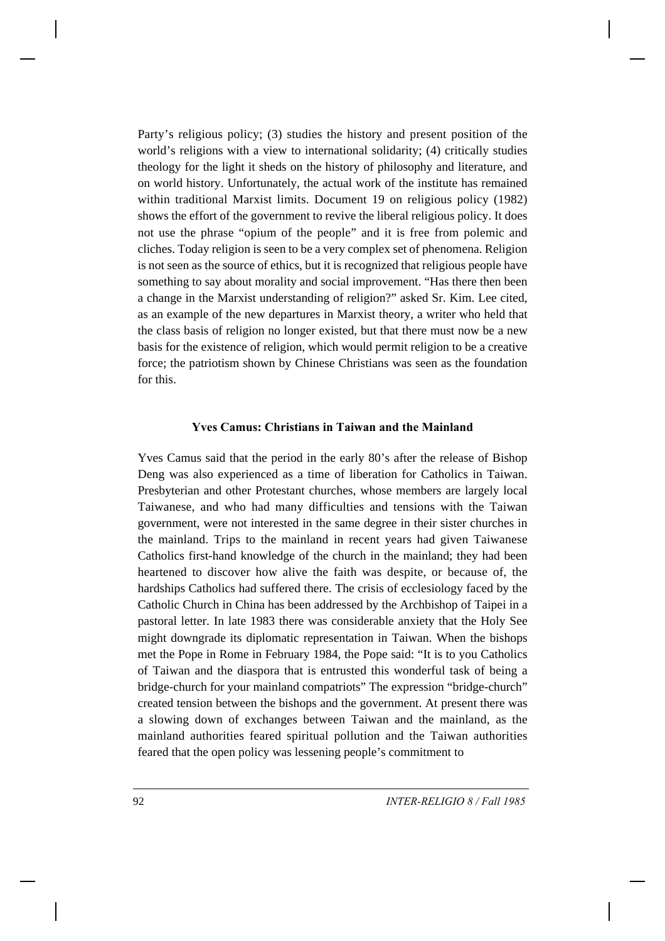Party's religious policy; (3) studies the history and present position of the world's religions with a view to international solidarity; (4) critically studies theology for the light it sheds on the history of philosophy and literature, and on world history. Unfortunately, the actual work of the institute has remained within traditional Marxist limits. Document 19 on religious policy (1982) shows the effort of the government to revive the liberal religious policy. It does not use the phrase "opium of the people" and it is free from polemic and cliches. Today religion is seen to be a very complex set of phenomena. Religion is not seen as the source of ethics, but it is recognized that religious people have something to say about morality and social improvement. "Has there then been a change in the Marxist understanding of religion?" asked Sr. Kim. Lee cited, as an example of the new departures in Marxist theory, a writer who held that the class basis of religion no longer existed, but that there must now be a new basis for the existence of religion, which would permit religion to be a creative force; the patriotism shown by Chinese Christians was seen as the foundation for this.

### **Yves Camus: Christians in Taiwan and the Mainland**

Yves Camus said that the period in the early 80's after the release of Bishop Deng was also experienced as a time of liberation for Catholics in Taiwan. Presbyterian and other Protestant churches, whose members are largely local Taiwanese, and who had many difficulties and tensions with the Taiwan government, were not interested in the same degree in their sister churches in the mainland. Trips to the mainland in recent years had given Taiwanese Catholics first-hand knowledge of the church in the mainland; they had been heartened to discover how alive the faith was despite, or because of, the hardships Catholics had suffered there. The crisis of ecclesiology faced by the Catholic Church in China has been addressed by the Archbishop of Taipei in a pastoral letter. In late 1983 there was considerable anxiety that the Holy See might downgrade its diplomatic representation in Taiwan. When the bishops met the Pope in Rome in February 1984, the Pope said: "It is to you Catholics of Taiwan and the diaspora that is entrusted this wonderful task of being a bridge-church for your mainland compatriots" The expression "bridge-church" created tension between the bishops and the government. At present there was a slowing down of exchanges between Taiwan and the mainland, as the mainland authorities feared spiritual pollution and the Taiwan authorities feared that the open policy was lessening people's commitment to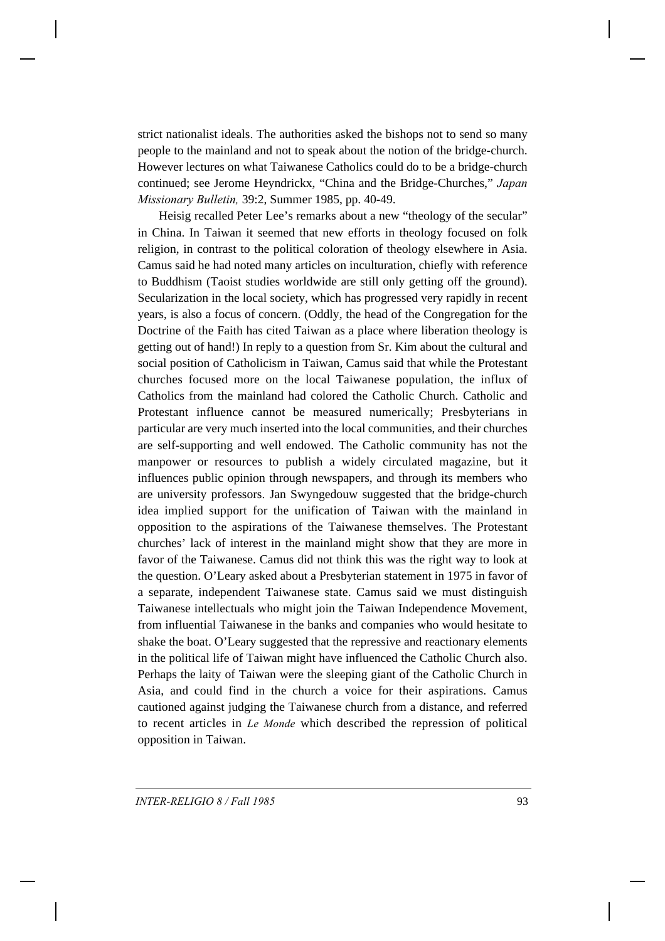strict nationalist ideals. The authorities asked the bishops not to send so many people to the mainland and not to speak about the notion of the bridge-church. However lectures on what Taiwanese Catholics could do to be a bridge-church continued; see Jerome Heyndrickx, "China and the Bridge-Churches," *Japan Missionary Bulletin,* 39:2, Summer 1985, pp. 40-49.

Heisig recalled Peter Lee's remarks about a new "theology of the secular" in China. In Taiwan it seemed that new efforts in theology focused on folk religion, in contrast to the political coloration of theology elsewhere in Asia. Camus said he had noted many articles on inculturation, chiefly with reference to Buddhism (Taoist studies worldwide are still only getting off the ground). Secularization in the local society, which has progressed very rapidly in recent years, is also a focus of concern. (Oddly, the head of the Congregation for the Doctrine of the Faith has cited Taiwan as a place where liberation theology is getting out of hand!) In reply to a question from Sr. Kim about the cultural and social position of Catholicism in Taiwan, Camus said that while the Protestant churches focused more on the local Taiwanese population, the influx of Catholics from the mainland had colored the Catholic Church. Catholic and Protestant influence cannot be measured numerically; Presbyterians in particular are very much inserted into the local communities, and their churches are self-supporting and well endowed. The Catholic community has not the manpower or resources to publish a widely circulated magazine, but it influences public opinion through newspapers, and through its members who are university professors. Jan Swyngedouw suggested that the bridge-church idea implied support for the unification of Taiwan with the mainland in opposition to the aspirations of the Taiwanese themselves. The Protestant churches' lack of interest in the mainland might show that they are more in favor of the Taiwanese. Camus did not think this was the right way to look at the question. O'Leary asked about a Presbyterian statement in 1975 in favor of a separate, independent Taiwanese state. Camus said we must distinguish Taiwanese intellectuals who might join the Taiwan Independence Movement, from influential Taiwanese in the banks and companies who would hesitate to shake the boat. O'Leary suggested that the repressive and reactionary elements in the political life of Taiwan might have influenced the Catholic Church also. Perhaps the laity of Taiwan were the sleeping giant of the Catholic Church in Asia, and could find in the church a voice for their aspirations. Camus cautioned against judging the Taiwanese church from a distance, and referred to recent articles in *Le Monde* which described the repression of political opposition in Taiwan.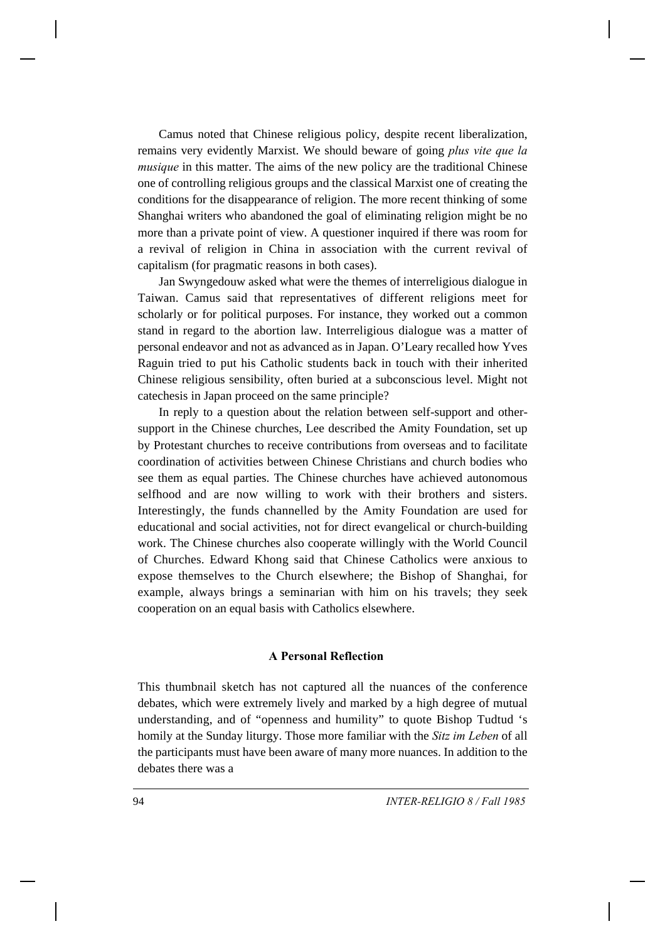Camus noted that Chinese religious policy, despite recent liberalization, remains very evidently Marxist. We should beware of going *plus vite que la musique* in this matter. The aims of the new policy are the traditional Chinese one of controlling religious groups and the classical Marxist one of creating the conditions for the disappearance of religion. The more recent thinking of some Shanghai writers who abandoned the goal of eliminating religion might be no more than a private point of view. A questioner inquired if there was room for a revival of religion in China in association with the current revival of capitalism (for pragmatic reasons in both cases).

Jan Swyngedouw asked what were the themes of interreligious dialogue in Taiwan. Camus said that representatives of different religions meet for scholarly or for political purposes. For instance, they worked out a common stand in regard to the abortion law. Interreligious dialogue was a matter of personal endeavor and not as advanced as in Japan. O'Leary recalled how Yves Raguin tried to put his Catholic students back in touch with their inherited Chinese religious sensibility, often buried at a subconscious level. Might not catechesis in Japan proceed on the same principle?

In reply to a question about the relation between self-support and othersupport in the Chinese churches, Lee described the Amity Foundation, set up by Protestant churches to receive contributions from overseas and to facilitate coordination of activities between Chinese Christians and church bodies who see them as equal parties. The Chinese churches have achieved autonomous selfhood and are now willing to work with their brothers and sisters. Interestingly, the funds channelled by the Amity Foundation are used for educational and social activities, not for direct evangelical or church-building work. The Chinese churches also cooperate willingly with the World Council of Churches. Edward Khong said that Chinese Catholics were anxious to expose themselves to the Church elsewhere; the Bishop of Shanghai, for example, always brings a seminarian with him on his travels; they seek cooperation on an equal basis with Catholics elsewhere.

#### **A Personal Reflection**

This thumbnail sketch has not captured all the nuances of the conference debates, which were extremely lively and marked by a high degree of mutual understanding, and of "openness and humility" to quote Bishop Tudtud 's homily at the Sunday liturgy. Those more familiar with the *Sitz im Leben* of all the participants must have been aware of many more nuances. In addition to the debates there was a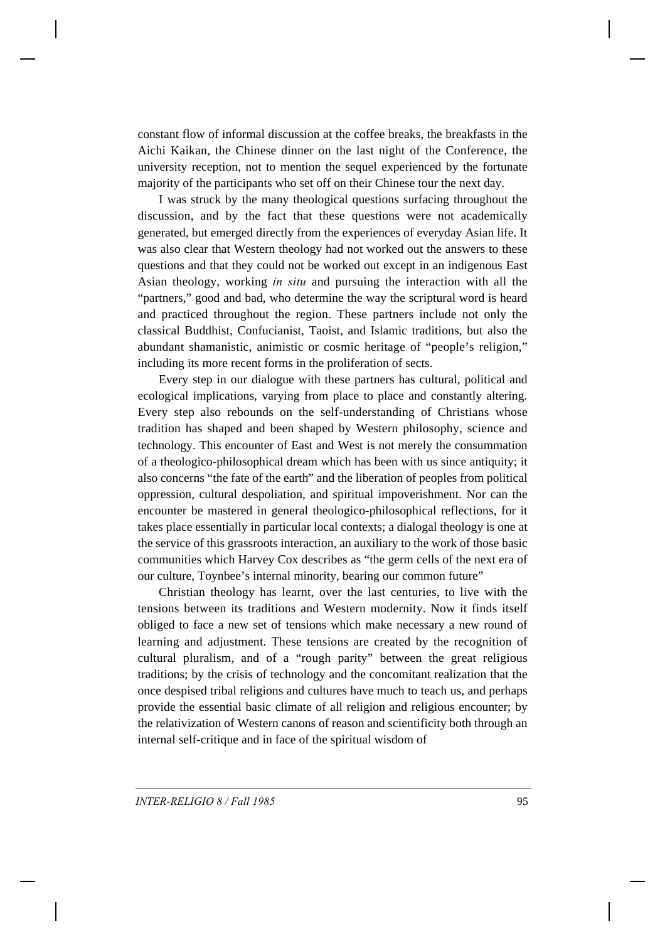constant flow of informal discussion at the coffee breaks, the breakfasts in the Aichi Kaikan, the Chinese dinner on the last night of the Conference, the university reception, not to mention the sequel experienced by the fortunate majority of the participants who set off on their Chinese tour the next day.

I was struck by the many theological questions surfacing throughout the discussion, and by the fact that these questions were not academically generated, but emerged directly from the experiences of everyday Asian life. It was also clear that Western theology had not worked out the answers to these questions and that they could not be worked out except in an indigenous East Asian theology, working *in situ* and pursuing the interaction with all the "partners," good and bad, who determine the way the scriptural word is heard and practiced throughout the region. These partners include not only the classical Buddhist, Confucianist, Taoist, and Islamic traditions, but also the abundant shamanistic, animistic or cosmic heritage of "people's religion," including its more recent forms in the proliferation of sects.

Every step in our dialogue with these partners has cultural, political and ecological implications, varying from place to place and constantly altering. Every step also rebounds on the self-understanding of Christians whose tradition has shaped and been shaped by Western philosophy, science and technology. This encounter of East and West is not merely the consummation of a theologico-philosophical dream which has been with us since antiquity; it also concerns "the fate of the earth" and the liberation of peoples from political oppression, cultural despoliation, and spiritual impoverishment. Nor can the encounter be mastered in general theologico-philosophical reflections, for it takes place essentially in particular local contexts; a dialogal theology is one at the service of this grassroots interaction, an auxiliary to the work of those basic communities which Harvey Cox describes as "the germ cells of the next era of our culture, Toynbee's internal minority, bearing our common future"

Christian theology has learnt, over the last centuries, to live with the tensions between its traditions and Western modernity. Now it finds itself obliged to face a new set of tensions which make necessary a new round of learning and adjustment. These tensions are created by the recognition of cultural pluralism, and of a "rough parity" between the great religious traditions; by the crisis of technology and the concomitant realization that the once despised tribal religions and cultures have much to teach us, and perhaps provide the essential basic climate of all religion and religious encounter; by the relativization of Western canons of reason and scientificity both through an internal self-critique and in face of the spiritual wisdom of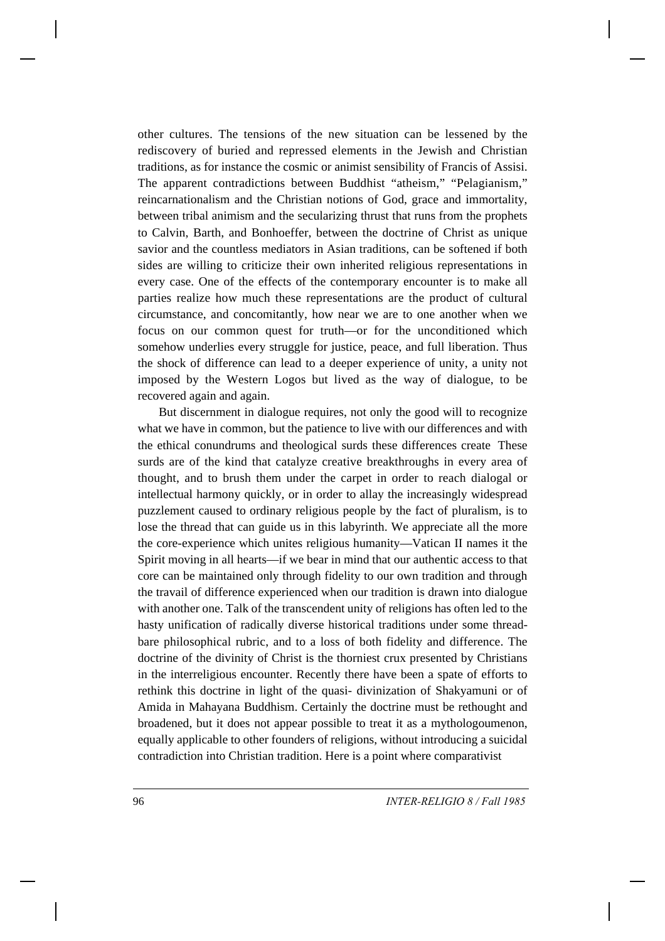other cultures. The tensions of the new situation can be lessened by the rediscovery of buried and repressed elements in the Jewish and Christian traditions, as for instance the cosmic or animist sensibility of Francis of Assisi. The apparent contradictions between Buddhist "atheism," "Pelagianism," reincarnationalism and the Christian notions of God, grace and immortality, between tribal animism and the secularizing thrust that runs from the prophets to Calvin, Barth, and Bonhoeffer, between the doctrine of Christ as unique savior and the countless mediators in Asian traditions, can be softened if both sides are willing to criticize their own inherited religious representations in every case. One of the effects of the contemporary encounter is to make all parties realize how much these representations are the product of cultural circumstance, and concomitantly, how near we are to one another when we focus on our common quest for truth—or for the unconditioned which somehow underlies every struggle for justice, peace, and full liberation. Thus the shock of difference can lead to a deeper experience of unity, a unity not imposed by the Western Logos but lived as the way of dialogue, to be recovered again and again.

But discernment in dialogue requires, not only the good will to recognize what we have in common, but the patience to live with our differences and with the ethical conundrums and theological surds these differences create These surds are of the kind that catalyze creative breakthroughs in every area of thought, and to brush them under the carpet in order to reach dialogal or intellectual harmony quickly, or in order to allay the increasingly widespread puzzlement caused to ordinary religious people by the fact of pluralism, is to lose the thread that can guide us in this labyrinth. We appreciate all the more the core-experience which unites religious humanity—Vatican II names it the Spirit moving in all hearts—if we bear in mind that our authentic access to that core can be maintained only through fidelity to our own tradition and through the travail of difference experienced when our tradition is drawn into dialogue with another one. Talk of the transcendent unity of religions has often led to the hasty unification of radically diverse historical traditions under some threadbare philosophical rubric, and to a loss of both fidelity and difference. The doctrine of the divinity of Christ is the thorniest crux presented by Christians in the interreligious encounter. Recently there have been a spate of efforts to rethink this doctrine in light of the quasi- divinization of Shakyamuni or of Amida in Mahayana Buddhism. Certainly the doctrine must be rethought and broadened, but it does not appear possible to treat it as a mythologoumenon, equally applicable to other founders of religions, without introducing a suicidal contradiction into Christian tradition. Here is a point where comparativist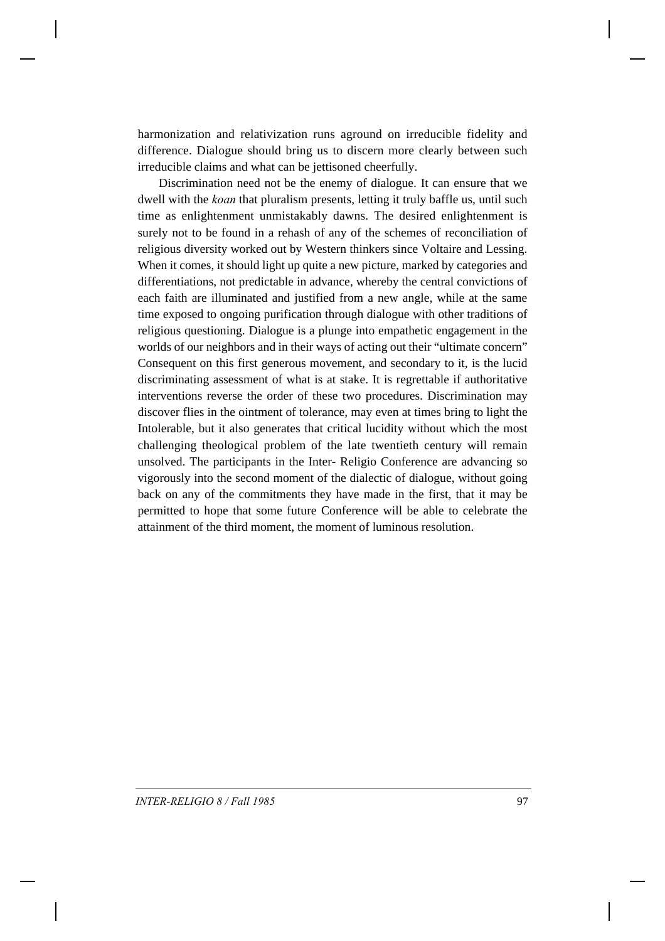harmonization and relativization runs aground on irreducible fidelity and difference. Dialogue should bring us to discern more clearly between such irreducible claims and what can be jettisoned cheerfully.

Discrimination need not be the enemy of dialogue. It can ensure that we dwell with the *koan* that pluralism presents, letting it truly baffle us, until such time as enlightenment unmistakably dawns. The desired enlightenment is surely not to be found in a rehash of any of the schemes of reconciliation of religious diversity worked out by Western thinkers since Voltaire and Lessing. When it comes, it should light up quite a new picture, marked by categories and differentiations, not predictable in advance, whereby the central convictions of each faith are illuminated and justified from a new angle, while at the same time exposed to ongoing purification through dialogue with other traditions of religious questioning. Dialogue is a plunge into empathetic engagement in the worlds of our neighbors and in their ways of acting out their "ultimate concern" Consequent on this first generous movement, and secondary to it, is the lucid discriminating assessment of what is at stake. It is regrettable if authoritative interventions reverse the order of these two procedures. Discrimination may discover flies in the ointment of tolerance, may even at times bring to light the Intolerable, but it also generates that critical lucidity without which the most challenging theological problem of the late twentieth century will remain unsolved. The participants in the Inter- Religio Conference are advancing so vigorously into the second moment of the dialectic of dialogue, without going back on any of the commitments they have made in the first, that it may be permitted to hope that some future Conference will be able to celebrate the attainment of the third moment, the moment of luminous resolution.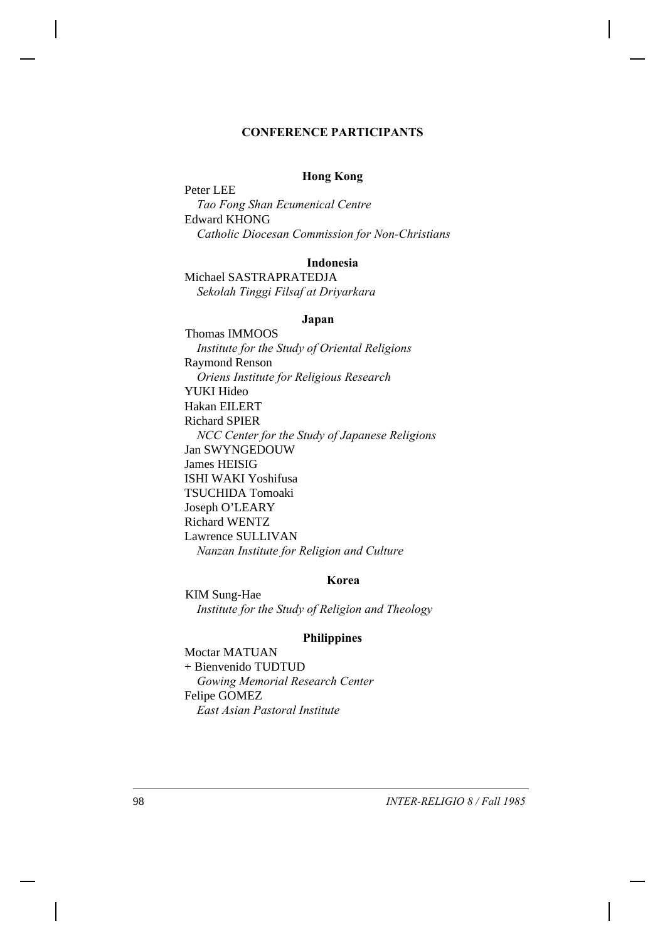#### **CONFERENCE PARTICIPANTS**

#### **Hong Kong**

Peter LEE *Tao Fong Shan Ecumenical Centre* Edward KHONG *Catholic Diocesan Commission for Non-Christians*

#### **Indonesia**

Michael SASTRAPRATEDJA *Sekolah Tinggi Filsaf at Driyarkara*

#### **Japan**

Thomas IMMOOS *Institute for the Study of Oriental Religions* Raymond Renson *Oriens Institute for Religious Research* YUKI Hideo Hakan EILERT Richard SPIER *NCC Center for the Study of Japanese Religions* Jan SWYNGEDOUW James HEISIG ISHI WAKI Yoshifusa TSUCHIDA Tomoaki Joseph O'LEARY Richard WENTZ Lawrence SULLIVAN *Nanzan Institute for Religion and Culture*

#### **Korea**

KIM Sung-Hae *Institute for the Study of Religion and Theology*

#### **Philippines**

Moctar MATUAN + Bienvenido TUDTUD *Gowing Memorial Research Center* Felipe GOMEZ *East Asian Pastoral Institute*